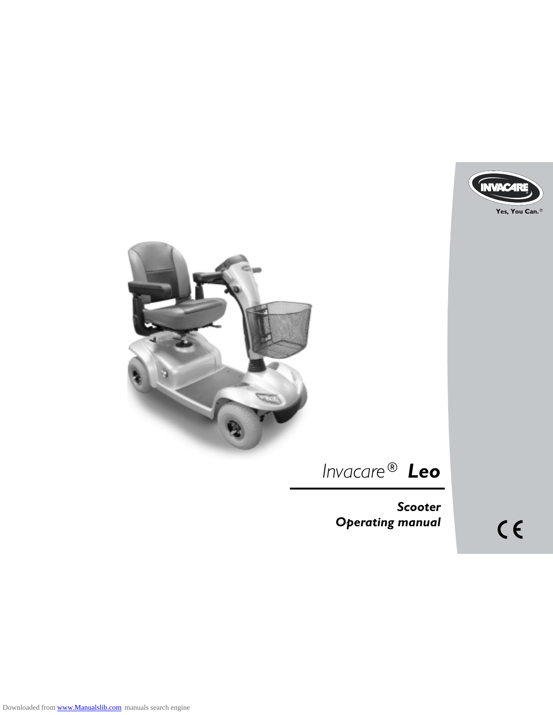



# *Invacare® Leo*

*Scoote r Operating manual*

 $C \in$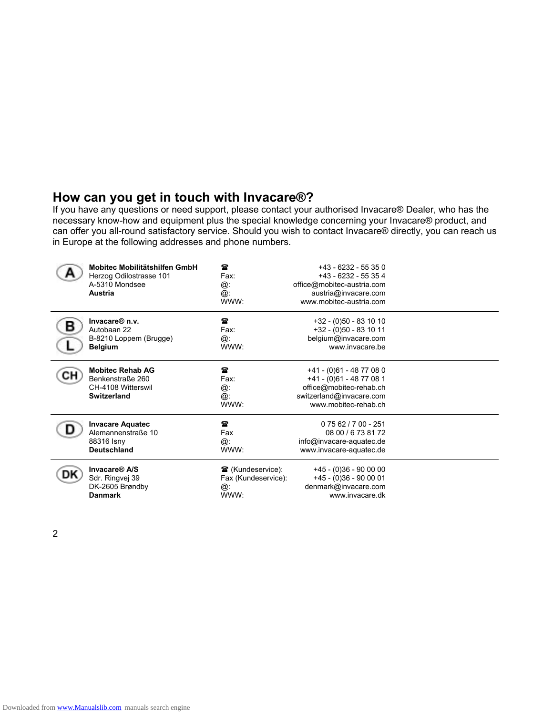### **How can you get in touch with Invacare®?**

If you have any questions or need support, please contact your authorised Invacare® Dealer, who has the necessary know-how and equipment plus the special knowledge concerning your Invacare® product, and can offer you all-round satisfactory service. Should you wish to contact Invacare® directly, you can reach us in Europe at the following addresses and phone numbers.

| Mobitec Mobilitätshilfen GmbH<br>Herzog Odilostrasse 101<br>A-5310 Mondsee<br><b>Austria</b> | 雲<br>Fax:<br>@:<br>@:<br>WWW:            | $+43 - 6232 - 55350$<br>+43 - 6232 - 55 35 4<br>office@mobitec-austria.com<br>austria@invacare.com<br>www.mobitec-austria.com       |  |
|----------------------------------------------------------------------------------------------|------------------------------------------|-------------------------------------------------------------------------------------------------------------------------------------|--|
| Invacare <sup>®</sup> n.v.                                                                   | $\mathbf{r}$                             | +32 - (0)50 - 83 10 10                                                                                                              |  |
| Autobaan 22                                                                                  | Fax:                                     | +32 - (0)50 - 83 10 11                                                                                                              |  |
| B-8210 Loppem (Brugge)                                                                       | @:                                       | belgium@invacare.com                                                                                                                |  |
| <b>Belgium</b>                                                                               | WWW:                                     | www.invacare.be                                                                                                                     |  |
| <b>Mobitec Rehab AG</b><br>Benkenstraße 260<br>CH-4108 Witterswil<br>Switzerland             | $\mathbf{r}$<br>Fax:<br>@:<br>@:<br>WWW: | +41 - (0)61 - 48 77 08 0<br>+41 - (0)61 - 48 77 08 1<br>office@mobitec-rehab.ch<br>switzerland@invacare.com<br>www.mobitec-rehab.ch |  |
| <b>Invacare Aquatec</b>                                                                      | 営                                        | $0.7562/700 - 251$                                                                                                                  |  |
| Alemannenstraße 10                                                                           | Fax                                      | 08 00 / 6 73 81 72                                                                                                                  |  |
| 88316 Isny                                                                                   | @:                                       | info@invacare-aquatec.de                                                                                                            |  |
| <b>Deutschland</b>                                                                           | WWW:                                     | www.invacare-aquatec.de                                                                                                             |  |
| Invacare <sup>®</sup> A/S                                                                    | <b>雪</b> (Kundeservice):                 | +45 - (0)36 - 90 00 00                                                                                                              |  |
| Sdr. Ringvej 39                                                                              | Fax (Kundeservice):                      | $+45 - (0)36 - 900001$                                                                                                              |  |
| DK-2605 Brøndby                                                                              | @:                                       | denmark@invacare.com                                                                                                                |  |
| <b>Danmark</b>                                                                               | WWW:                                     | www.invacare.dk                                                                                                                     |  |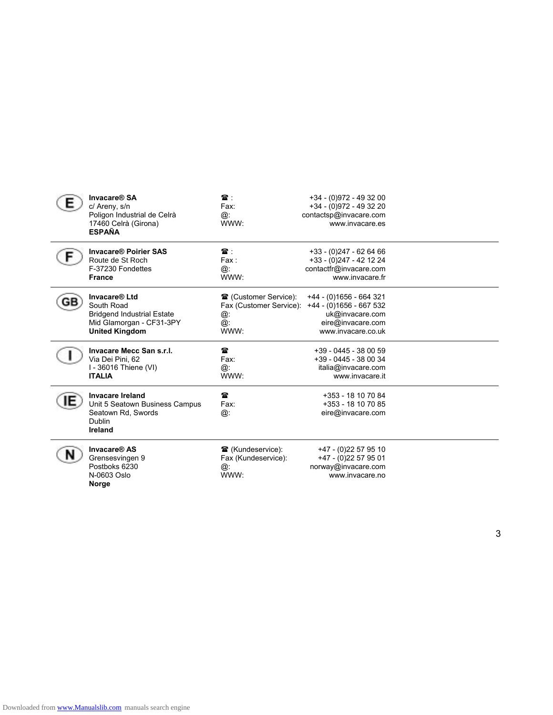| Invacare® SA<br>c/ Areny, s/n<br>Poligon Industrial de Celrà<br>17460 Celrà (Girona)<br><b>ESPAÑA</b>                 | $\mathbf{r}$ .<br>Fax:<br>@:<br>WWW:                                        | +34 - (0)972 - 49 32 00<br>+34 - (0)972 - 49 32 20<br>contactsp@invacare.com<br>www.invacare.es                  |  |
|-----------------------------------------------------------------------------------------------------------------------|-----------------------------------------------------------------------------|------------------------------------------------------------------------------------------------------------------|--|
| <b>Invacare® Poirier SAS</b><br>Route de St Roch<br>F-37230 Fondettes<br><b>France</b>                                | $\mathbf{r}$ .<br>Fax :<br>@:<br>WWW:                                       | +33 - (0)247 - 62 64 66<br>+33 - (0)247 - 42 12 24<br>contactfr@invacare.com<br>www.invacare.fr                  |  |
| Invacare® Ltd<br>South Road<br><b>Bridgend Industrial Estate</b><br>Mid Glamorgan - CF31-3PY<br><b>United Kingdom</b> | <b>■</b> (Customer Service):<br>Fax (Customer Service):<br>@:<br>@:<br>WWW: | +44 - (0)1656 - 664 321<br>+44 - (0)1656 - 667 532<br>uk@invacare.com<br>eire@invacare.com<br>www.invacare.co.uk |  |
| Invacare Mecc San s.r.l.<br>Via Dei Pini. 62<br>I - 36016 Thiene (VI)<br><b>ITALIA</b>                                | Ŧ<br>Fax:<br>@:<br>WWW:                                                     | +39 - 0445 - 38 00 59<br>+39 - 0445 - 38 00 34<br>italia@invacare.com<br>www.invacare.it                         |  |
| <b>Invacare Ireland</b><br>Unit 5 Seatown Business Campus<br>Seatown Rd, Swords<br>Dublin<br>Ireland                  | 営<br>Fax:<br>@:                                                             | +353 - 18 10 70 84<br>+353 - 18 10 70 85<br>eire@invacare.com                                                    |  |
| Invacare <sup>®</sup> AS<br>Grensesvingen 9<br>Postboks 6230<br>N-0603 Oslo<br>Norge                                  | <b>■</b> (Kundeservice):<br>Fax (Kundeservice):<br>@:<br>WWW:               | +47 - (0)22 57 95 10<br>+47 - (0)22 57 95 01<br>norway@invacare.com<br>www.invacare.no                           |  |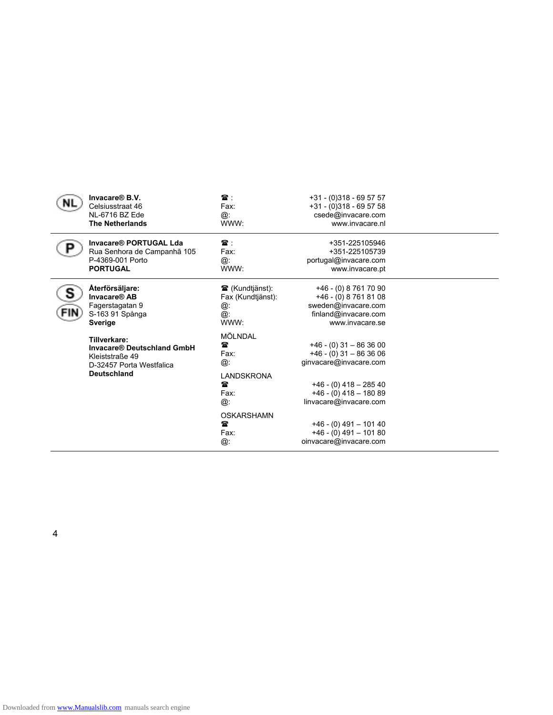| Invacare <sup>®</sup> B.V.<br>Celsiusstraat 46<br>NL-6716 BZ Ede<br><b>The Netherlands</b>                      | 雷:<br>Fax:<br>@:<br>WWW:                                        | $+31 - (0)318 - 695757$<br>$+31 - (0)318 - 695758$<br>csede@invacare.com<br>www.invacare.nl                                                                        |  |
|-----------------------------------------------------------------------------------------------------------------|-----------------------------------------------------------------|--------------------------------------------------------------------------------------------------------------------------------------------------------------------|--|
| Invacare® PORTUGAL Lda<br>Rua Senhora de Campanhã 105<br>P-4369-001 Porto<br><b>PORTUGAL</b>                    | $\mathbf{r}$ :<br>Fax:<br>@:<br>WWW:                            | +351-225105946<br>+351-225105739<br>portugal@invacare.com<br>www.invacare.pt                                                                                       |  |
| Återförsäljare:<br>Invacare® AB<br>Fagerstagatan 9<br>S-163 91 Spånga<br><b>Sverige</b>                         | <b>■</b> (Kundtjänst):<br>Fax (Kundtjänst):<br>@:<br>@:<br>WWW: | +46 - (0) 8 761 70 90<br>$+46 - (0) 8 761 81 08$<br>sweden@invacare.com<br>finland@invacare.com<br>www.invacare.se                                                 |  |
| Tillverkare:<br>Invacare® Deutschland GmbH<br>Kleiststraße 49<br>D-32457 Porta Westfalica<br><b>Deutschland</b> | MÖLNDAL<br>Ŧ<br>Fax:<br>@:<br>LANDSKRONA<br>曾<br>Fax:<br>@:     | $+46 - (0)$ 31 - 86 36 00<br>$+46 - (0)$ 31 - 86 36 06<br>ginvacare@invacare.com<br>$+46 - (0)$ 418 - 285 40<br>$+46 - (0)$ 418 - 180 89<br>linvacare@invacare.com |  |
|                                                                                                                 | <b>OSKARSHAMN</b><br>営<br>Fax:<br>@:                            | $+46 - (0)$ 491 - 101 40<br>$+46 - (0)$ 491 - 101 80<br>oinvacare@invacare.com                                                                                     |  |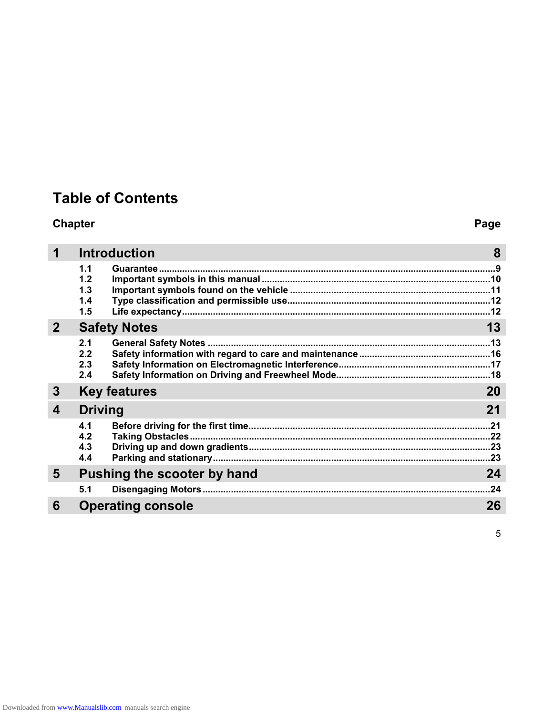## **Table of Contents**

### **Chapter Page**

|              |                                 | <b>Introduction</b>         | 8         |
|--------------|---------------------------------|-----------------------------|-----------|
|              | 1.1<br>1.2<br>1.3<br>1.4<br>1.5 |                             |           |
| $\mathbf{2}$ |                                 | <b>Safety Notes</b>         | 13        |
|              | 2.1<br>2.2<br>2.3<br>2.4        |                             |           |
| 3            |                                 | <b>Key features</b>         | <b>20</b> |
| 4            | <b>Driving</b>                  |                             | 21        |
|              | 4.1<br>4.2<br>4.3<br>4.4        |                             |           |
| 5            |                                 | Pushing the scooter by hand | 24        |
|              | 5.1                             |                             | .24       |
| 6            |                                 | <b>Operating console</b>    | 26        |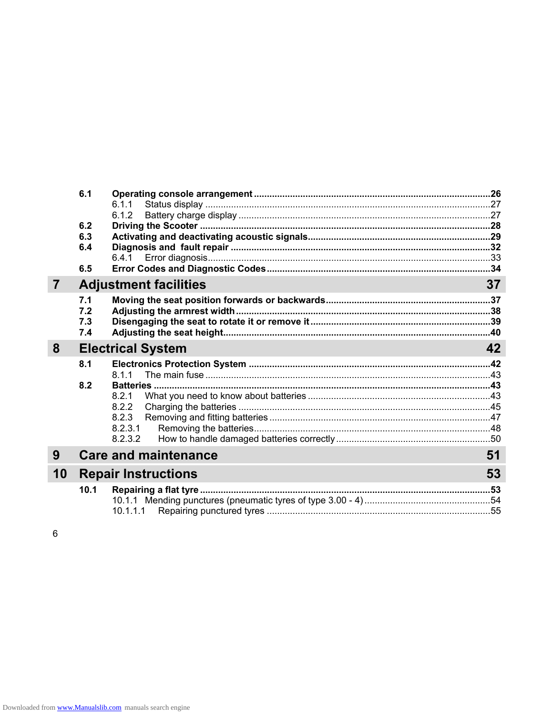|    | 6.1  |                              |    |
|----|------|------------------------------|----|
|    |      | 6.1.1                        |    |
|    |      | 6.1.2                        |    |
|    | 6.2  |                              |    |
|    | 6.3  |                              |    |
|    | 6.4  |                              |    |
|    |      | 6.4.1                        |    |
|    | 6.5  |                              |    |
| 7  |      | <b>Adjustment facilities</b> | 37 |
|    | 7.1  |                              |    |
|    | 7.2  |                              |    |
|    | 7.3  |                              |    |
|    | 7.4  |                              |    |
| 8  |      | <b>Electrical System</b>     | 42 |
|    | 8.1  |                              |    |
|    |      | 811                          |    |
|    | 8.2  |                              |    |
|    |      | 8.2.1                        |    |
|    |      | 8.2.2                        |    |
|    |      | 8.2.3                        |    |
|    |      | 8.2.3.1                      |    |
|    |      | 8.2.3.2                      |    |
| 9  |      | <b>Care and maintenance</b>  | 51 |
| 10 |      | <b>Repair Instructions</b>   | 53 |
|    |      |                              |    |
|    | 10.1 |                              |    |
|    |      |                              |    |
|    |      | 10.1.1.1                     |    |

 $\, 6$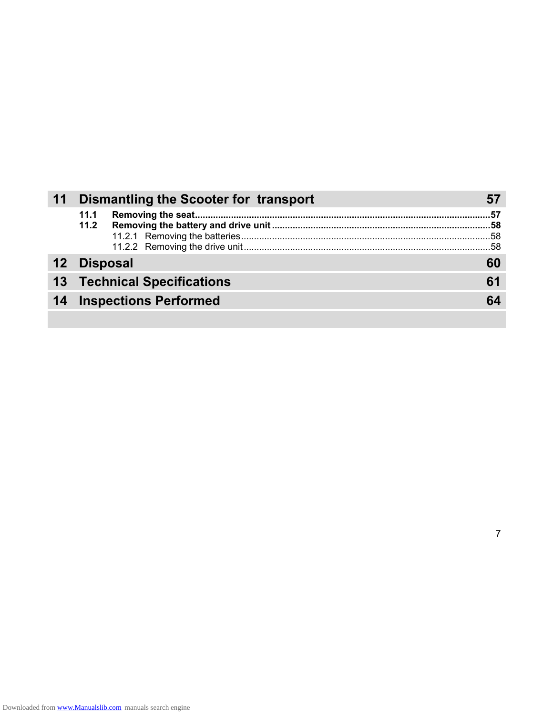| 11 |             | Dismantling the Scooter for transport |    |
|----|-------------|---------------------------------------|----|
|    | 11.1        |                                       |    |
|    | 12 Disposal |                                       |    |
|    |             | <b>13 Technical Specifications</b>    | 61 |
|    |             | <b>14 Inspections Performed</b>       |    |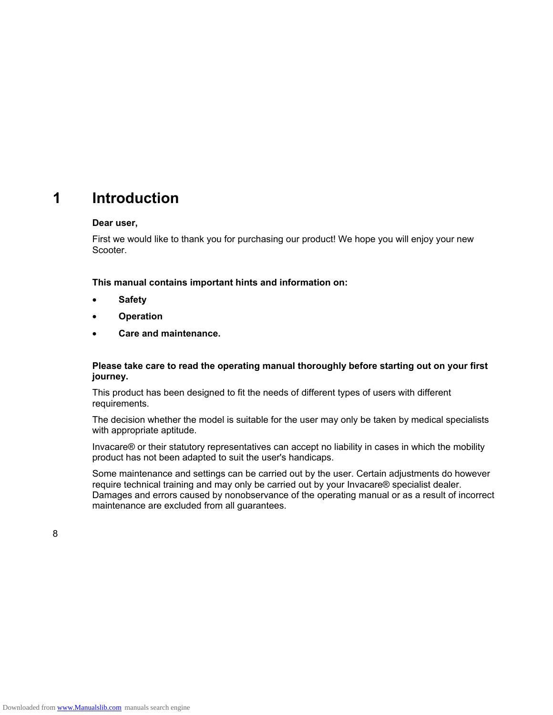### **1 Introduction**

#### **Dear user,**

First we would like to thank you for purchasing our product! We hope you will enjoy your new Scooter.

**This manual contains important hints and information on:** 

- **Safety**
- **Operation**
- **Care and maintenance.**

#### **Please take care to read the operating manual thoroughly before starting out on your first journey.**

This product has been designed to fit the needs of different types of users with different requirements.

The decision whether the model is suitable for the user may only be taken by medical specialists with appropriate aptitude.

Invacare® or their statutory representatives can accept no liability in cases in which the mobility product has not been adapted to suit the user's handicaps.

Some maintenance and settings can be carried out by the user. Certain adjustments do however require technical training and may only be carried out by your Invacare® specialist dealer. Damages and errors caused by nonobservance of the operating manual or as a result of incorrect maintenance are excluded from all guarantees.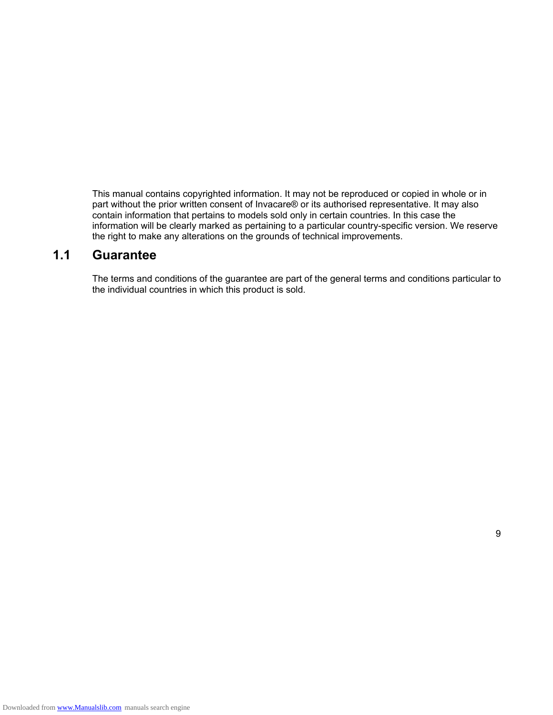This manual contains copyrighted information. It may not be reproduced or copied in whole or in part without the prior written consent of Invacare® or its authorised representative. It may also contain information that pertains to models sold only in certain countries. In this case the information will be clearly marked as pertaining to a particular country-specific version. We reserve the right to make any alterations on the grounds of technical improvements.

### **1.1 Guarantee**

The terms and conditions of the guarantee are part of the general terms and conditions particular to the individual countries in which this product is sold.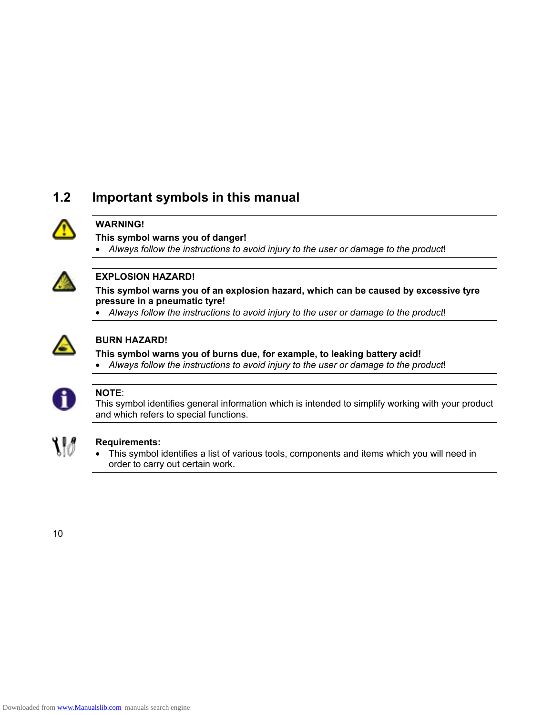### **1.2 Important symbols in this manual**



### **WARNING!**

**This symbol warns you of danger!** 

• *Always follow the instructions to avoid injury to the user or damage to the product*!



### **EXPLOSION HAZARD!**

**This symbol warns you of an explosion hazard, which can be caused by excessive tyre pressure in a pneumatic tyre!** 

• *Always follow the instructions to avoid injury to the user or damage to the product*!



### **BURN HAZARD!**

**This symbol warns you of burns due, for example, to leaking battery acid!** 

• *Always follow the instructions to avoid injury to the user or damage to the product*!



#### **NOTE**:

This symbol identifies general information which is intended to simplify working with your product and which refers to special functions.



### **Requirements:**

• This symbol identifies a list of various tools, components and items which you will need in order to carry out certain work.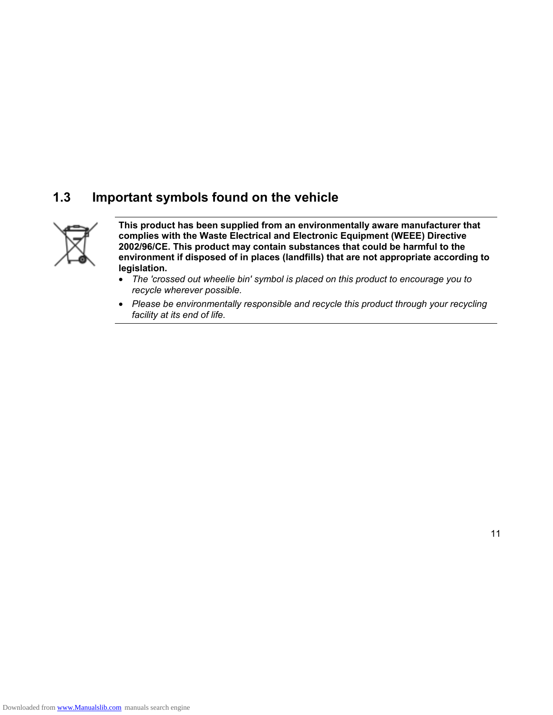### **1.3 Important symbols found on the vehicle**



**This product has been supplied from an environmentally aware manufacturer that complies with the Waste Electrical and Electronic Equipment (WEEE) Directive 2002/96/CE. This product may contain substances that could be harmful to the environment if disposed of in places (landfills) that are not appropriate according to legislation.** 

- *The 'crossed out wheelie bin' symbol is placed on this product to encourage you to recycle wherever possible.*
- *Please be environmentally responsible and recycle this product through your recycling facility at its end of life.*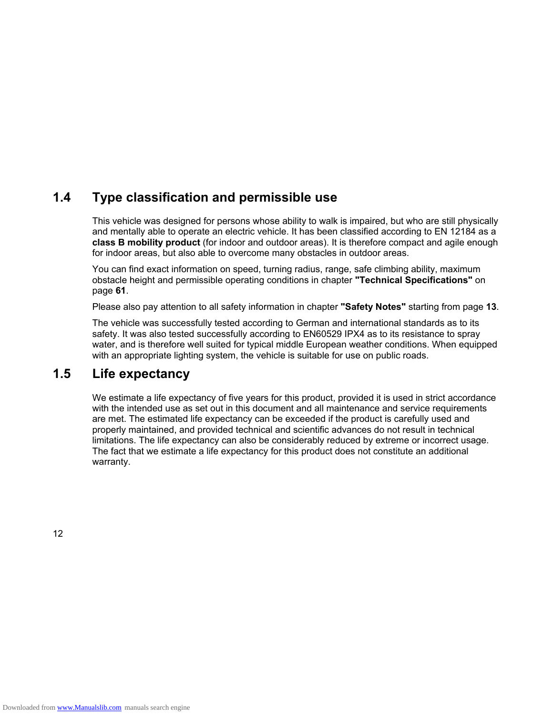### **1.4 Type classification and permissible use**

This vehicle was designed for persons whose ability to walk is impaired, but who are still physically and mentally able to operate an electric vehicle. It has been classified according to EN 12184 as a **class B mobility product** (for indoor and outdoor areas). It is therefore compact and agile enough for indoor areas, but also able to overcome many obstacles in outdoor areas.

You can find exact information on speed, turning radius, range, safe climbing ability, maximum obstacle height and permissible operating conditions in chapter **"Technical Specifications"** on page **61**.

Please also pay attention to all safety information in chapter **"Safety Notes"** starting from page **13**.

The vehicle was successfully tested according to German and international standards as to its safety. It was also tested successfully according to EN60529 IPX4 as to its resistance to spray water, and is therefore well suited for typical middle European weather conditions. When equipped with an appropriate lighting system, the vehicle is suitable for use on public roads.

### **1.5 Life expectancy**

We estimate a life expectancy of five years for this product, provided it is used in strict accordance with the intended use as set out in this document and all maintenance and service requirements are met. The estimated life expectancy can be exceeded if the product is carefully used and properly maintained, and provided technical and scientific advances do not result in technical limitations. The life expectancy can also be considerably reduced by extreme or incorrect usage. The fact that we estimate a life expectancy for this product does not constitute an additional warranty.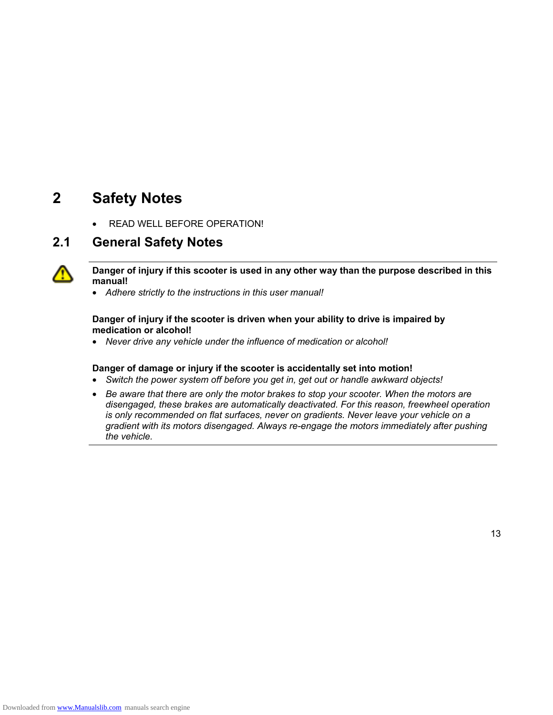### **2 Safety Notes**

READ WELL BEFORE OPERATION!

### **2.1 General Safety Notes**



**Danger of injury if this scooter is used in any other way than the purpose described in this manual!** 

• *Adhere strictly to the instructions in this user manual!* 

#### **Danger of injury if the scooter is driven when your ability to drive is impaired by medication or alcohol!**

• *Never drive any vehicle under the influence of medication or alcohol!* 

#### **Danger of damage or injury if the scooter is accidentally set into motion!**

- *Switch the power system off before you get in, get out or handle awkward objects!*
- *Be aware that there are only the motor brakes to stop your scooter. When the motors are disengaged, these brakes are automatically deactivated. For this reason, freewheel operation is only recommended on flat surfaces, never on gradients. Never leave your vehicle on a gradient with its motors disengaged. Always re-engage the motors immediately after pushing the vehicle.*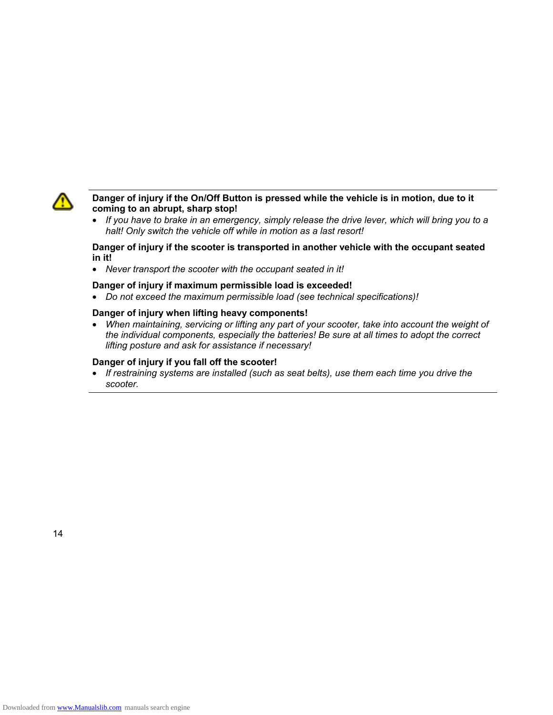

#### **Danger of injury if the On/Off Button is pressed while the vehicle is in motion, due to it coming to an abrupt, sharp stop!**

• *If you have to brake in an emergency, simply release the drive lever, which will bring you to a halt! Only switch the vehicle off while in motion as a last resort!* 

#### **Danger of injury if the scooter is transported in another vehicle with the occupant seated in it!**

• *Never transport the scooter with the occupant seated in it!* 

#### **Danger of injury if maximum permissible load is exceeded!**

• *Do not exceed the maximum permissible load (see technical specifications)!* 

#### **Danger of injury when lifting heavy components!**

• *When maintaining, servicing or lifting any part of your scooter, take into account the weight of the individual components, especially the batteries! Be sure at all times to adopt the correct lifting posture and ask for assistance if necessary!* 

#### **Danger of injury if you fall off the scooter!**

• *If restraining systems are installed (such as seat belts), use them each time you drive the scooter.*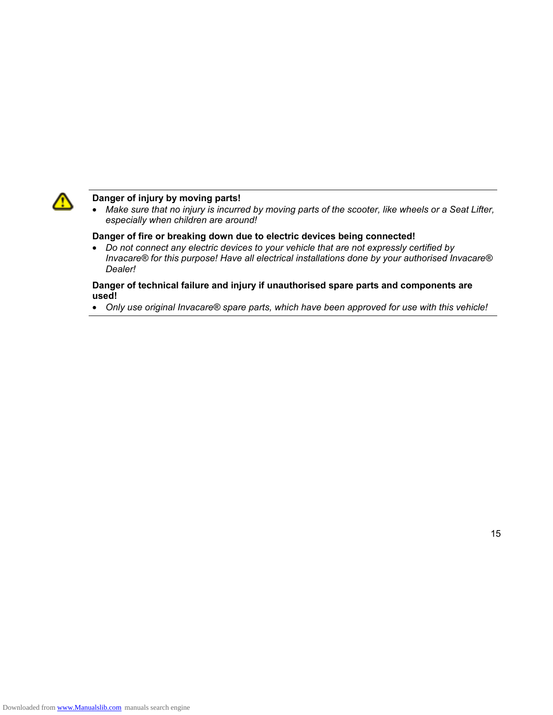

#### **Danger of injury by moving parts!**

• *Make sure that no injury is incurred by moving parts of the scooter, like wheels or a Seat Lifter, especially when children are around!* 

#### **Danger of fire or breaking down due to electric devices being connected!**

• *Do not connect any electric devices to your vehicle that are not expressly certified by Invacare® for this purpose! Have all electrical installations done by your authorised Invacare® Dealer!* 

#### **Danger of technical failure and injury if unauthorised spare parts and components are used!**

• *Only use original Invacare® spare parts, which have been approved for use with this vehicle!*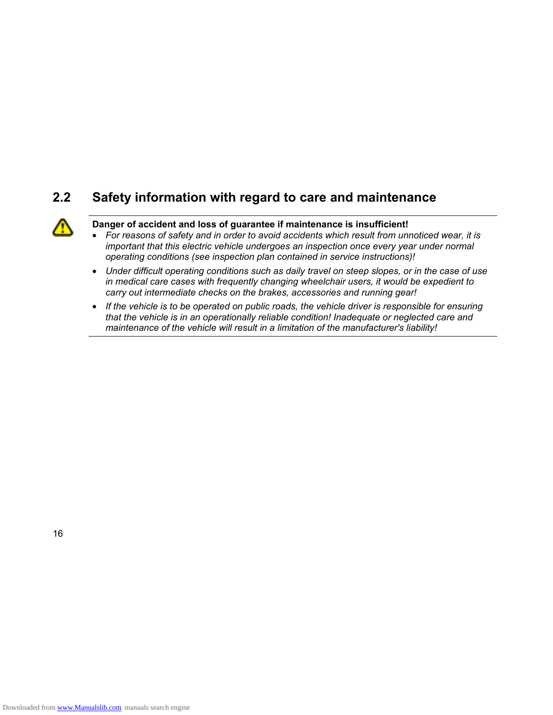### **2.2 Safety information with regard to care and maintenance**



#### **Danger of accident and loss of guarantee if maintenance is insufficient!**

- *For reasons of safety and in order to avoid accidents which result from unnoticed wear, it is important that this electric vehicle undergoes an inspection once every year under normal operating conditions (see inspection plan contained in service instructions)!*
- *Under difficult operating conditions such as daily travel on steep slopes, or in the case of use in medical care cases with frequently changing wheelchair users, it would be expedient to carry out intermediate checks on the brakes, accessories and running gear!*
- *If the vehicle is to be operated on public roads, the vehicle driver is responsible for ensuring that the vehicle is in an operationally reliable condition! Inadequate or neglected care and maintenance of the vehicle will result in a limitation of the manufacturer's liability!*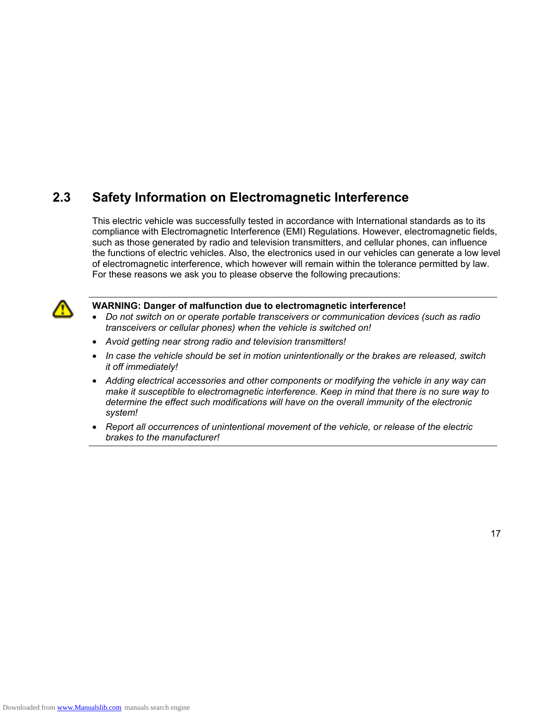### **2.3 Safety Information on Electromagnetic Interference**

This electric vehicle was successfully tested in accordance with International standards as to its compliance with Electromagnetic Interference (EMI) Regulations. However, electromagnetic fields, such as those generated by radio and television transmitters, and cellular phones, can influence the functions of electric vehicles. Also, the electronics used in our vehicles can generate a low level of electromagnetic interference, which however will remain within the tolerance permitted by law. For these reasons we ask you to please observe the following precautions:



#### **WARNING: Danger of malfunction due to electromagnetic interference!**

- *Do not switch on or operate portable transceivers or communication devices (such as radio transceivers or cellular phones) when the vehicle is switched on!*
- *Avoid getting near strong radio and television transmitters!*
- *In case the vehicle should be set in motion unintentionally or the brakes are released, switch it off immediately!*
- *Adding electrical accessories and other components or modifying the vehicle in any way can make it susceptible to electromagnetic interference. Keep in mind that there is no sure way to determine the effect such modifications will have on the overall immunity of the electronic system!*
- *Report all occurrences of unintentional movement of the vehicle, or release of the electric brakes to the manufacturer!*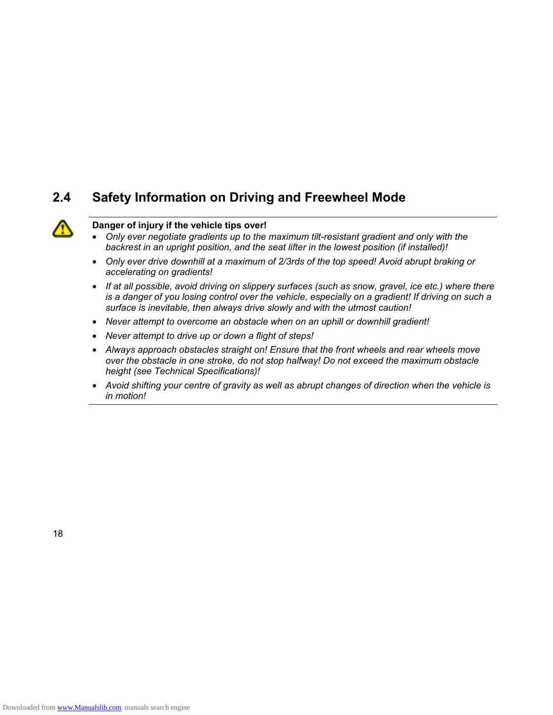### **2.4 Safety Information on Driving and Freewheel Mode**



#### **Danger of injury if the vehicle tips over!**

- *Only ever negotiate gradients up to the maximum tilt-resistant gradient and only with the backrest in an upright position, and the seat lifter in the lowest position (if installed)!*
- *Only ever drive downhill at a maximum of 2/3rds of the top speed! Avoid abrupt braking or accelerating on gradients!*
- *If at all possible, avoid driving on slippery surfaces (such as snow, gravel, ice etc.) where there is a danger of you losing control over the vehicle, especially on a gradient! If driving on such a surface is inevitable, then always drive slowly and with the utmost caution!*
- *Never attempt to overcome an obstacle when on an uphill or downhill gradient!*
- *Never attempt to drive up or down a flight of steps!*
- *Always approach obstacles straight on! Ensure that the front wheels and rear wheels move over the obstacle in one stroke, do not stop halfway! Do not exceed the maximum obstacle height (see Technical Specifications)!*
- *Avoid shifting your centre of gravity as well as abrupt changes of direction when the vehicle is in motion!*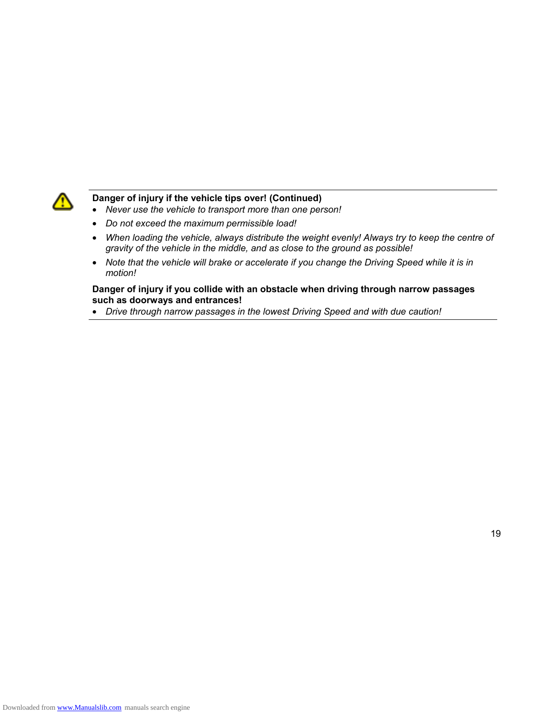

### **Danger of injury if the vehicle tips over! (Continued)**

- *Never use the vehicle to transport more than one person!*
- *Do not exceed the maximum permissible load!*
- *When loading the vehicle, always distribute the weight evenly! Always try to keep the centre of gravity of the vehicle in the middle, and as close to the ground as possible!*
- *Note that the vehicle will brake or accelerate if you change the Driving Speed while it is in motion!*

#### **Danger of injury if you collide with an obstacle when driving through narrow passages such as doorways and entrances!**

• *Drive through narrow passages in the lowest Driving Speed and with due caution!*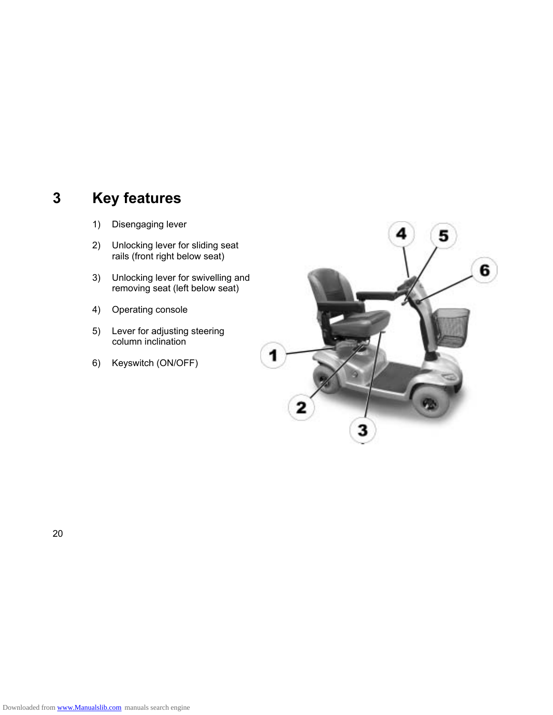### **3 Key features**

- 1) Disengaging lever
- 2) Unlocking lever for sliding seat rails (front right below seat)
- 3) Unlocking lever for swivelling and removing seat (left below seat)
- 4) Operating console
- 5) Lever for adjusting steering column inclination
- 6) Keyswitch (ON/OFF)

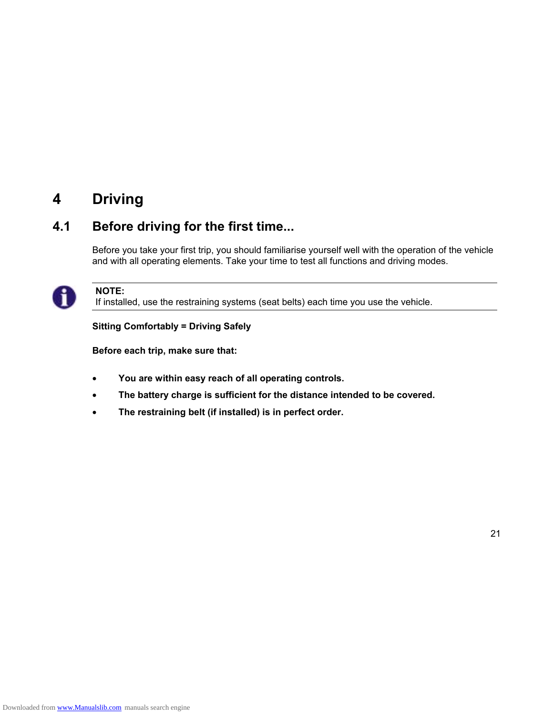### **4 Driving**

### **4.1 Before driving for the first time...**

Before you take your first trip, you should familiarise yourself well with the operation of the vehicle and with all operating elements. Take your time to test all functions and driving modes.



### **NOTE:**

If installed, use the restraining systems (seat belts) each time you use the vehicle.

**Sitting Comfortably = Driving Safely** 

**Before each trip, make sure that:** 

- **You are within easy reach of all operating controls.**
- **The battery charge is sufficient for the distance intended to be covered.**
- **The restraining belt (if installed) is in perfect order.**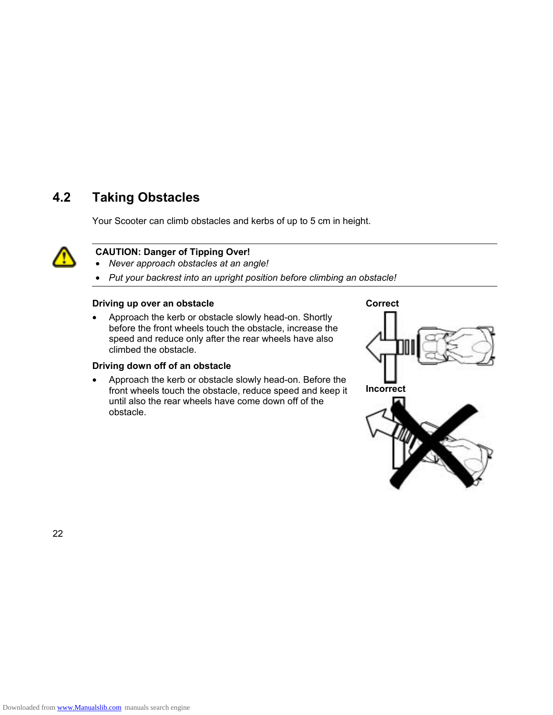### **4.2 Taking Obstacles**

Your Scooter can climb obstacles and kerbs of up to 5 cm in height.



### **CAUTION: Danger of Tipping Over!**

- *Never approach obstacles at an angle!*
- *Put your backrest into an upright position before climbing an obstacle!*

#### **Driving up over an obstacle**

• Approach the kerb or obstacle slowly head-on. Shortly before the front wheels touch the obstacle, increase the speed and reduce only after the rear wheels have also climbed the obstacle.

#### **Driving down off of an obstacle**

• Approach the kerb or obstacle slowly head-on. Before the front wheels touch the obstacle, reduce speed and keep it until also the rear wheels have come down off of the obstacle.

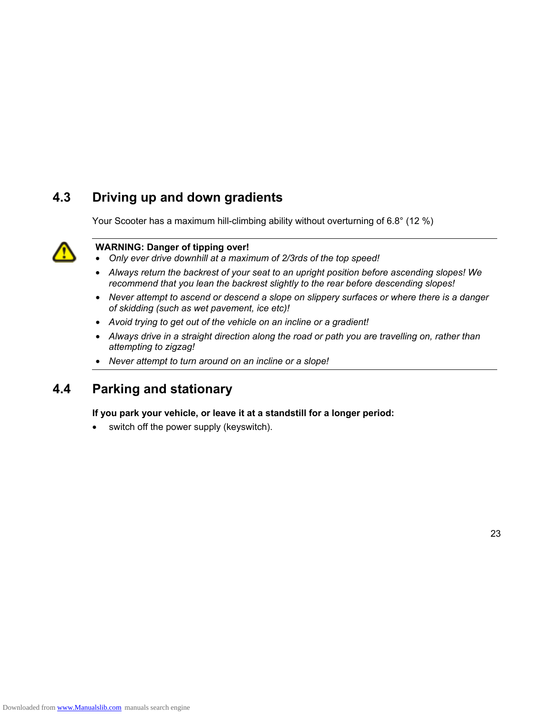### **4.3 Driving up and down gradients**

Your Scooter has a maximum hill-climbing ability without overturning of 6.8° (12 %)



#### **WARNING: Danger of tipping over!**

- *Only ever drive downhill at a maximum of 2/3rds of the top speed!*
- *Always return the backrest of your seat to an upright position before ascending slopes! We recommend that you lean the backrest slightly to the rear before descending slopes!*
- *Never attempt to ascend or descend a slope on slippery surfaces or where there is a danger of skidding (such as wet pavement, ice etc)!*
- *Avoid trying to get out of the vehicle on an incline or a gradient!*
- *Always drive in a straight direction along the road or path you are travelling on, rather than attempting to zigzag!*
- *Never attempt to turn around on an incline or a slope!*

### **4.4 Parking and stationary**

**If you park your vehicle, or leave it at a standstill for a longer period:** 

switch off the power supply (keyswitch).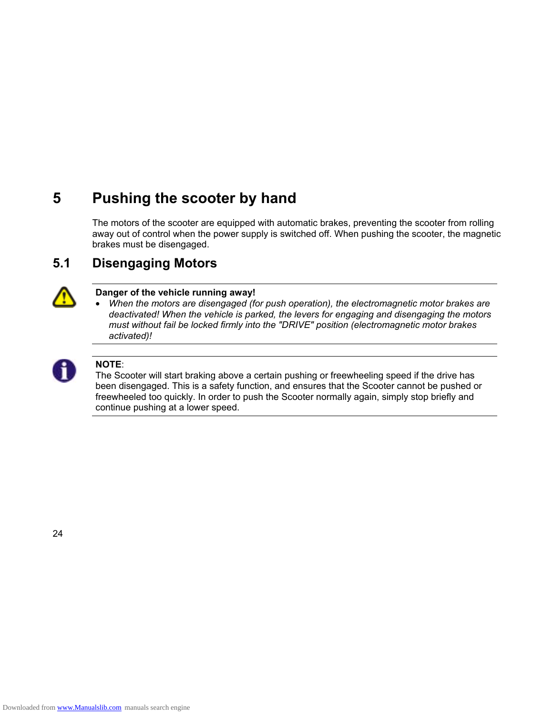## **5 Pushing the scooter by hand**

The motors of the scooter are equipped with automatic brakes, preventing the scooter from rolling away out of control when the power supply is switched off. When pushing the scooter, the magnetic brakes must be disengaged.

### **5.1 Disengaging Motors**



### **Danger of the vehicle running away!**

• *When the motors are disengaged (for push operation), the electromagnetic motor brakes are deactivated! When the vehicle is parked, the levers for engaging and disengaging the motors must without fail be locked firmly into the "DRIVE" position (electromagnetic motor brakes activated)!* 



#### **NOTE**:

The Scooter will start braking above a certain pushing or freewheeling speed if the drive has been disengaged. This is a safety function, and ensures that the Scooter cannot be pushed or freewheeled too quickly. In order to push the Scooter normally again, simply stop briefly and continue pushing at a lower speed.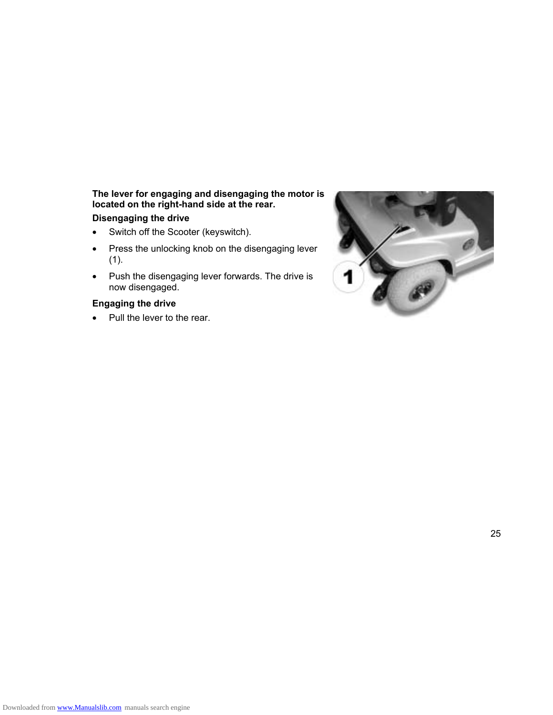### **The lever for engaging and disengaging the motor is located on the right-hand side at the rear.**

### **Disengaging the drive**

- Switch off the Scooter (keyswitch).
- Press the unlocking knob on the disengaging lever (1).
- Push the disengaging lever forwards. The drive is now disengaged.

#### **Engaging the drive**

• Pull the lever to the rear.

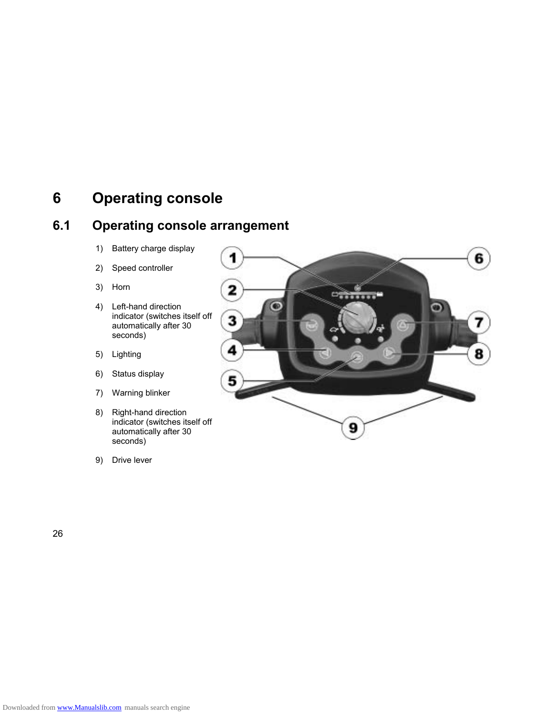### **6 Operating console**

### **6.1 Operating console arrangement**

- 1) Battery charge display
- 2) Speed controller
- 3) Horn
- 4) Left-hand direction indicator (switches itself off automatically after 30 seconds)
- 5) Lighting
- 6) Status display
- 7) Warning blinker
- 8) Right-hand direction indicator (switches itself off automatically after 30 seconds)
- 9) Drive lever

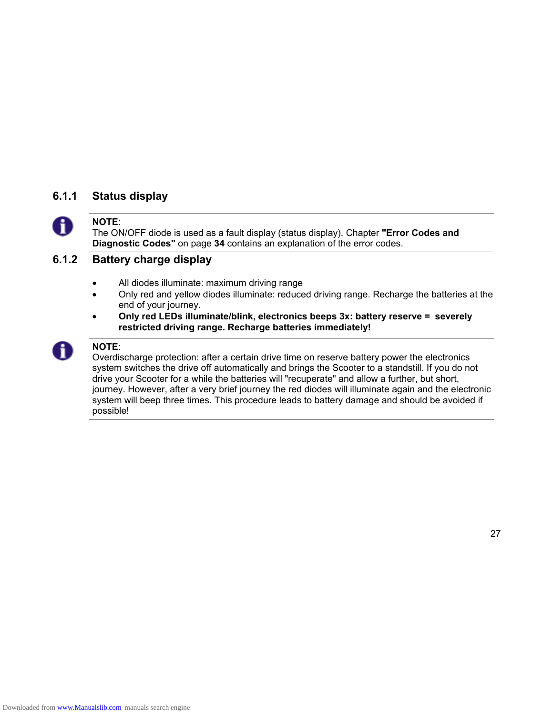### **6.1.1 Status display**



### **NOTE**:

The ON/OFF diode is used as a fault display (status display). Chapter **"Error Codes and Diagnostic Codes"** on page **34** contains an explanation of the error codes.

### **6.1.2 Battery charge display**

- All diodes illuminate: maximum driving range
- Only red and yellow diodes illuminate: reduced driving range. Recharge the batteries at the end of your journey.
- **Only red LEDs illuminate/blink, electronics beeps 3x: battery reserve = severely restricted driving range. Recharge batteries immediately!**



### **NOTE**:

Overdischarge protection: after a certain drive time on reserve battery power the electronics system switches the drive off automatically and brings the Scooter to a standstill. If you do not drive your Scooter for a while the batteries will "recuperate" and allow a further, but short, journey. However, after a very brief journey the red diodes will illuminate again and the electronic system will beep three times. This procedure leads to battery damage and should be avoided if possible!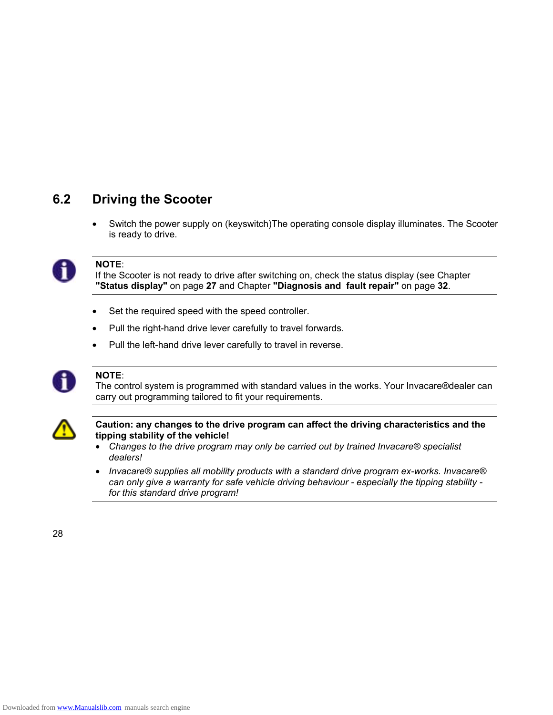### **6.2 Driving the Scooter**

• Switch the power supply on (keyswitch)The operating console display illuminates. The Scooter is ready to drive.



#### **NOTE**:

If the Scooter is not ready to drive after switching on, check the status display (see Chapter **"Status display"** on page **27** and Chapter **"Diagnosis and fault repair"** on page **32**.

- Set the required speed with the speed controller.
- Pull the right-hand drive lever carefully to travel forwards.
- Pull the left-hand drive lever carefully to travel in reverse.



### **NOTE**:

The control system is programmed with standard values in the works. Your Invacare®dealer can carry out programming tailored to fit your requirements.



#### **Caution: any changes to the drive program can affect the driving characteristics and the tipping stability of the vehicle!**

- *Changes to the drive program may only be carried out by trained Invacare® specialist dealers!*
- *Invacare® supplies all mobility products with a standard drive program ex-works. Invacare® can only give a warranty for safe vehicle driving behaviour - especially the tipping stability for this standard drive program!*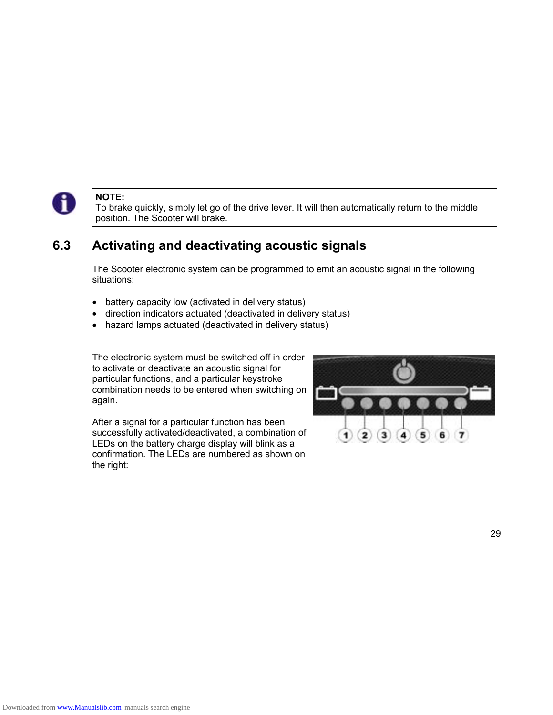

#### **NOTE:**

To brake quickly, simply let go of the drive lever. It will then automatically return to the middle position. The Scooter will brake.

### **6.3 Activating and deactivating acoustic signals**

The Scooter electronic system can be programmed to emit an acoustic signal in the following situations:

- battery capacity low (activated in delivery status)
- direction indicators actuated (deactivated in delivery status)
- hazard lamps actuated (deactivated in delivery status)

The electronic system must be switched off in order to activate or deactivate an acoustic signal for particular functions, and a particular keystroke combination needs to be entered when switching on again.

After a signal for a particular function has been successfully activated/deactivated, a combination of LEDs on the battery charge display will blink as a confirmation. The LEDs are numbered as shown on the right:

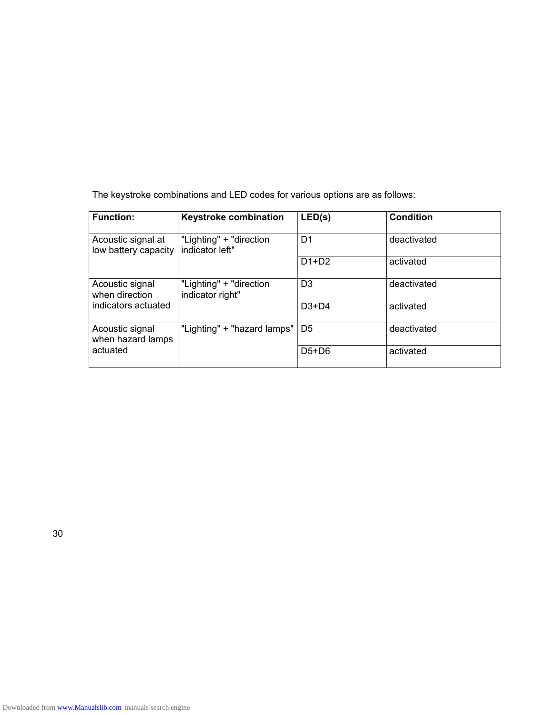|  | The keystroke combinations and LED codes for various options are as follows: |
|--|------------------------------------------------------------------------------|
|--|------------------------------------------------------------------------------|

| <b>Function:</b>                           | <b>Keystroke combination</b>                | LED(s)         | <b>Condition</b> |
|--------------------------------------------|---------------------------------------------|----------------|------------------|
| Acoustic signal at<br>low battery capacity | "Lighting" + "direction<br>indicator left"  | D1             | deactivated      |
|                                            |                                             | $D1+D2$        | activated        |
| Acoustic signal<br>when direction          | "Lighting" + "direction<br>indicator right" | D3             | deactivated      |
| indicators actuated                        |                                             | $D3+D4$        | activated        |
| Acoustic signal<br>when hazard lamps       | "Lighting" + "hazard lamps"                 | D <sub>5</sub> | deactivated      |
| actuated                                   |                                             | $D5+D6$        | activated        |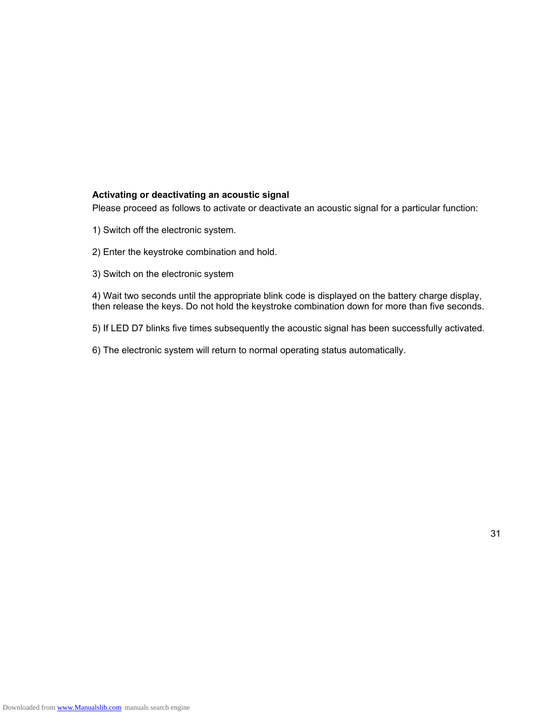#### **Activating or deactivating an acoustic signal**

Please proceed as follows to activate or deactivate an acoustic signal for a particular function:

- 1) Switch off the electronic system.
- 2) Enter the keystroke combination and hold.
- 3) Switch on the electronic system

4) Wait two seconds until the appropriate blink code is displayed on the battery charge display, then release the keys. Do not hold the keystroke combination down for more than five seconds.

- 5) If LED D7 blinks five times subsequently the acoustic signal has been successfully activated.
- 6) The electronic system will return to normal operating status automatically.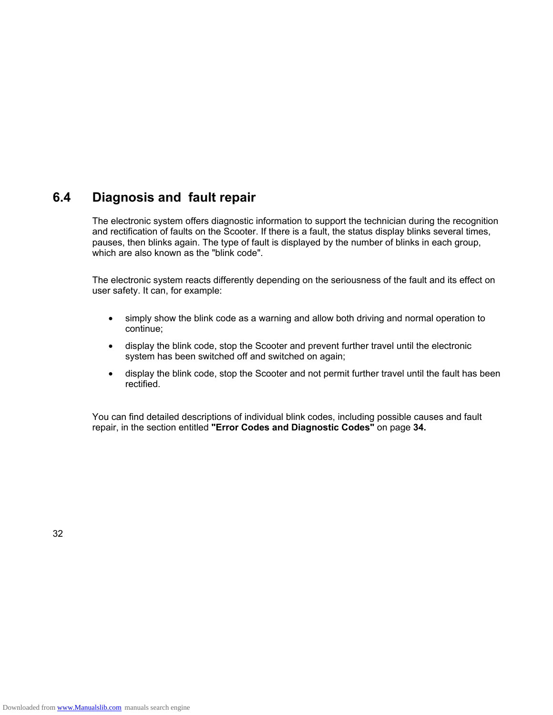### **6.4 Diagnosis and fault repair**

The electronic system offers diagnostic information to support the technician during the recognition and rectification of faults on the Scooter. If there is a fault, the status display blinks several times, pauses, then blinks again. The type of fault is displayed by the number of blinks in each group, which are also known as the "blink code".

The electronic system reacts differently depending on the seriousness of the fault and its effect on user safety. It can, for example:

- simply show the blink code as a warning and allow both driving and normal operation to continue;
- display the blink code, stop the Scooter and prevent further travel until the electronic system has been switched off and switched on again;
- display the blink code, stop the Scooter and not permit further travel until the fault has been rectified.

You can find detailed descriptions of individual blink codes, including possible causes and fault repair, in the section entitled **"Error Codes and Diagnostic Codes"** on page **34.**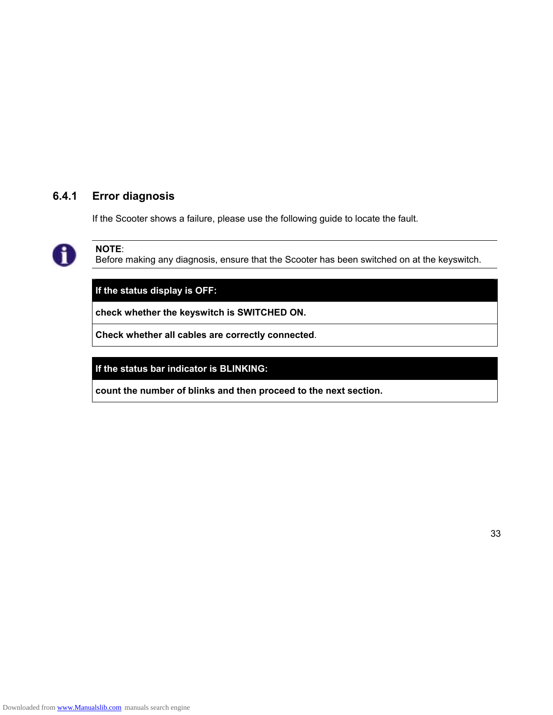### **6.4.1 Error diagnosis**

If the Scooter shows a failure, please use the following guide to locate the fault.



**NOTE**:

Before making any diagnosis, ensure that the Scooter has been switched on at the keyswitch.

**If the status display is OFF:** 

**check whether the keyswitch is SWITCHED ON.** 

**Check whether all cables are correctly connected**.

**If the status bar indicator is BLINKING:** 

**count the number of blinks and then proceed to the next section.**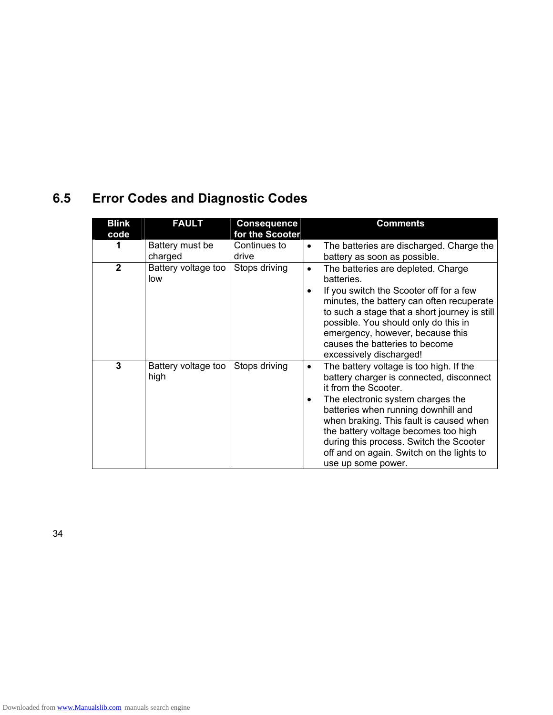### **6.5 Error Codes and Diagnostic Codes**

| <b>Blink</b> | <b>FAULT</b>                | <b>Consequence</b>    | <b>Comments</b>                                                                                                                                                                                                                                                                                                                                                                                            |
|--------------|-----------------------------|-----------------------|------------------------------------------------------------------------------------------------------------------------------------------------------------------------------------------------------------------------------------------------------------------------------------------------------------------------------------------------------------------------------------------------------------|
| code         |                             | for the Scooter       |                                                                                                                                                                                                                                                                                                                                                                                                            |
|              | Battery must be<br>charged  | Continues to<br>drive | The batteries are discharged. Charge the<br>$\bullet$<br>battery as soon as possible.                                                                                                                                                                                                                                                                                                                      |
| $\mathbf{2}$ | Battery voltage too<br>low  | Stops driving         | The batteries are depleted. Charge<br>$\bullet$<br>batteries.                                                                                                                                                                                                                                                                                                                                              |
|              |                             |                       | If you switch the Scooter off for a few<br>minutes, the battery can often recuperate<br>to such a stage that a short journey is still<br>possible. You should only do this in<br>emergency, however, because this<br>causes the batteries to become<br>excessively discharged!                                                                                                                             |
| 3            | Battery voltage too<br>high | Stops driving         | The battery voltage is too high. If the<br>$\bullet$<br>battery charger is connected, disconnect<br>it from the Scooter.<br>The electronic system charges the<br>٠<br>batteries when running downhill and<br>when braking. This fault is caused when<br>the battery voltage becomes too high<br>during this process. Switch the Scooter<br>off and on again. Switch on the lights to<br>use up some power. |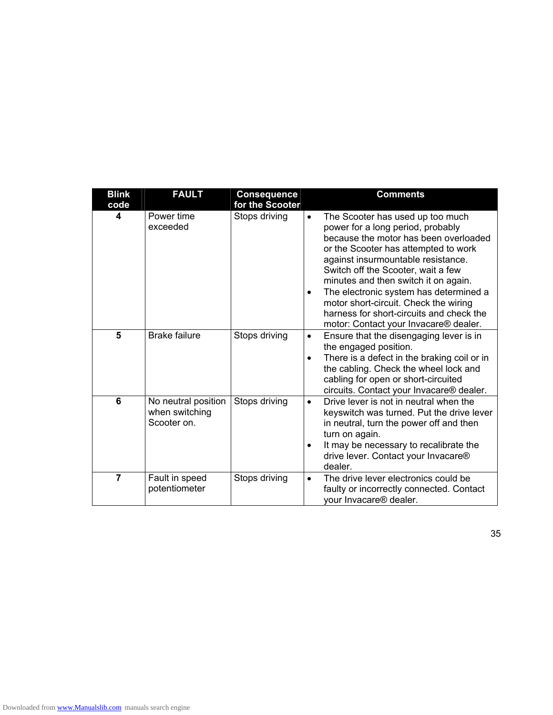| <b>Blink</b><br>code | <b>FAULT</b>                                         | <b>Consequence</b><br>for the Scooter | <b>Comments</b>                                                                                                                                                                                                                                                                                                                                                                                                                                                              |
|----------------------|------------------------------------------------------|---------------------------------------|------------------------------------------------------------------------------------------------------------------------------------------------------------------------------------------------------------------------------------------------------------------------------------------------------------------------------------------------------------------------------------------------------------------------------------------------------------------------------|
| 4                    | Power time<br>exceeded                               | Stops driving                         | The Scooter has used up too much<br>$\bullet$<br>power for a long period, probably<br>because the motor has been overloaded<br>or the Scooter has attempted to work<br>against insurmountable resistance.<br>Switch off the Scooter, wait a few<br>minutes and then switch it on again.<br>The electronic system has determined a<br>$\bullet$<br>motor short-circuit. Check the wiring<br>harness for short-circuits and check the<br>motor: Contact your Invacare® dealer. |
| 5                    | <b>Brake failure</b>                                 | Stops driving                         | Ensure that the disengaging lever is in<br>$\bullet$<br>the engaged position.<br>There is a defect in the braking coil or in<br>$\bullet$<br>the cabling. Check the wheel lock and<br>cabling for open or short-circuited<br>circuits. Contact your Invacare® dealer.                                                                                                                                                                                                        |
| 6                    | No neutral position<br>when switching<br>Scooter on. | Stops driving                         | Drive lever is not in neutral when the<br>$\bullet$<br>keyswitch was turned. Put the drive lever<br>in neutral, turn the power off and then<br>turn on again.<br>It may be necessary to recalibrate the<br>$\bullet$<br>drive lever. Contact your Invacare®<br>dealer.                                                                                                                                                                                                       |
| $\overline{7}$       | Fault in speed<br>potentiometer                      | Stops driving                         | The drive lever electronics could be<br>$\bullet$<br>faulty or incorrectly connected. Contact<br>your Invacare <sup>®</sup> dealer.                                                                                                                                                                                                                                                                                                                                          |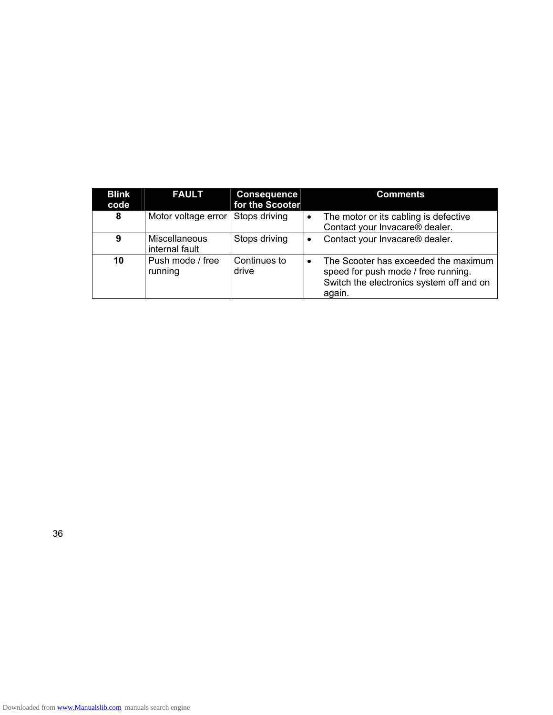| <b>Blink</b><br>code | <b>FAULT</b>                           | <b>Consequence</b><br>for the Scooter |           | <b>Comments</b>                                                                                                                   |
|----------------------|----------------------------------------|---------------------------------------|-----------|-----------------------------------------------------------------------------------------------------------------------------------|
| 8                    | Motor voltage error                    | Stops driving                         | $\bullet$ | The motor or its cabling is defective<br>Contact your Invacare® dealer.                                                           |
| 9                    | <b>Miscellaneous</b><br>internal fault | Stops driving                         |           | Contact your Invacare® dealer.                                                                                                    |
| 10                   | Push mode / free<br>running            | Continues to<br>drive                 | $\bullet$ | The Scooter has exceeded the maximum<br>speed for push mode / free running.<br>Switch the electronics system off and on<br>again. |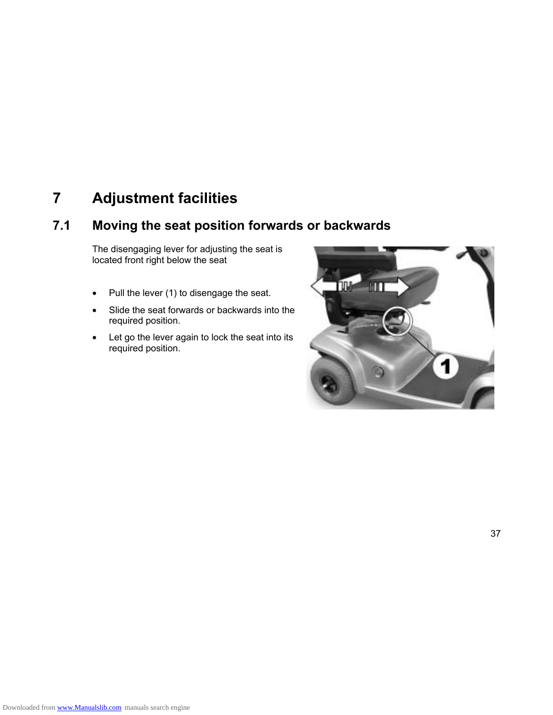### **7 Adjustment facilities**

### **7.1 Moving the seat position forwards or backwards**

The disengaging lever for adjusting the seat is located front right below the seat

- Pull the lever (1) to disengage the seat.
- Slide the seat forwards or backwards into the required position.
- Let go the lever again to lock the seat into its required position.

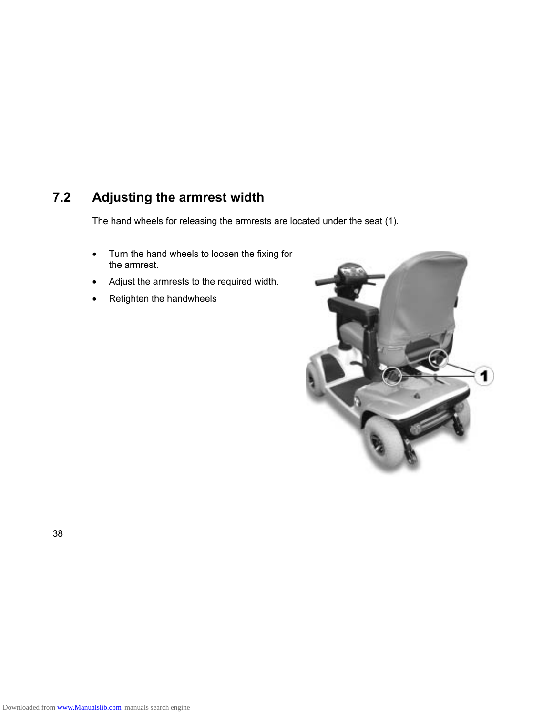### **7.2 Adjusting the armrest width**

The hand wheels for releasing the armrests are located under the seat (1).

- Turn the hand wheels to loosen the fixing for the armrest.
- Adjust the armrests to the required width.
- Retighten the handwheels

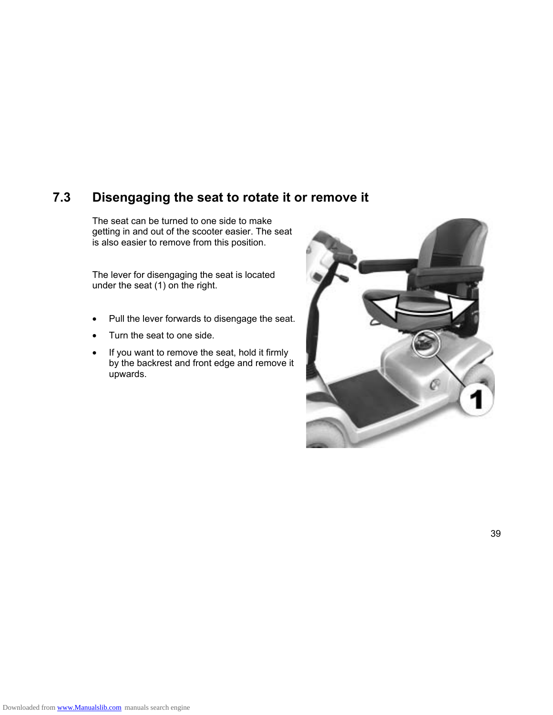### **7.3 Disengaging the seat to rotate it or remove it**

The seat can be turned to one side to make getting in and out of the scooter easier. The seat is also easier to remove from this position.

The lever for disengaging the seat is located under the seat (1) on the right.

- Pull the lever forwards to disengage the seat.
- Turn the seat to one side.
- If you want to remove the seat, hold it firmly by the backrest and front edge and remove it upwards.

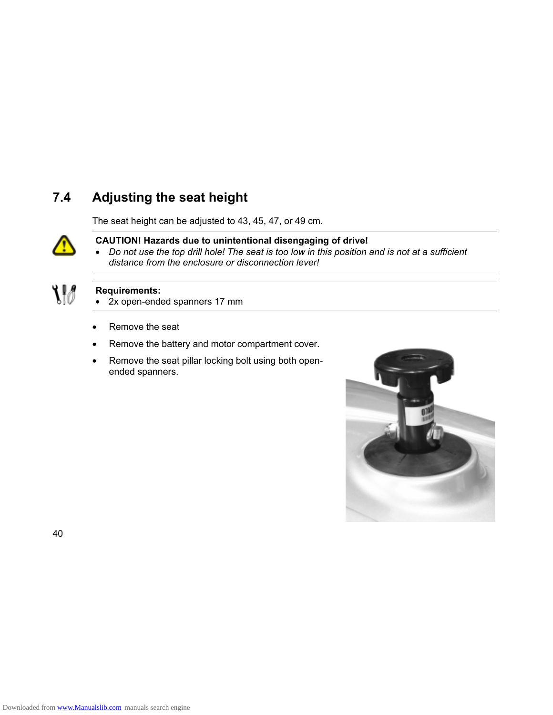### **7.4 Adjusting the seat height**

The seat height can be adjusted to 43, 45, 47, or 49 cm.



### **CAUTION! Hazards due to unintentional disengaging of drive!**

• *Do not use the top drill hole! The seat is too low in this position and is not at a sufficient distance from the enclosure or disconnection lever!* 



### **Requirements:**

- 2x open-ended spanners 17 mm
- Remove the seat
- Remove the battery and motor compartment cover.
- Remove the seat pillar locking bolt using both openended spanners.

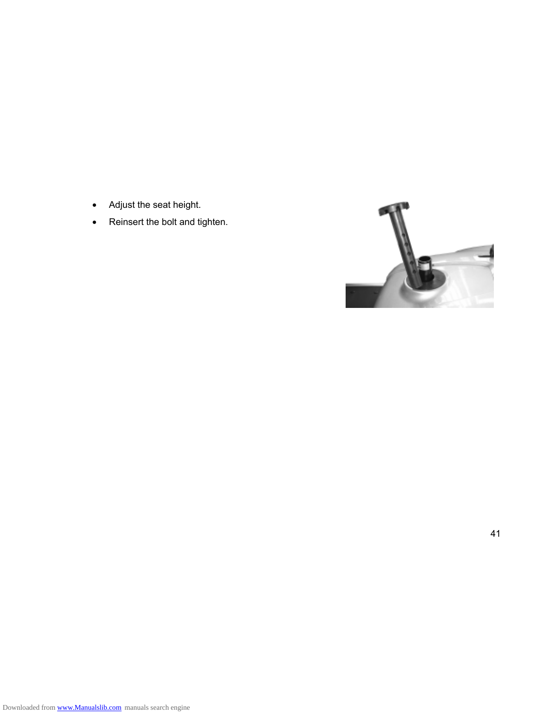- Adjust the seat height.
- Reinsert the bolt and tighten.

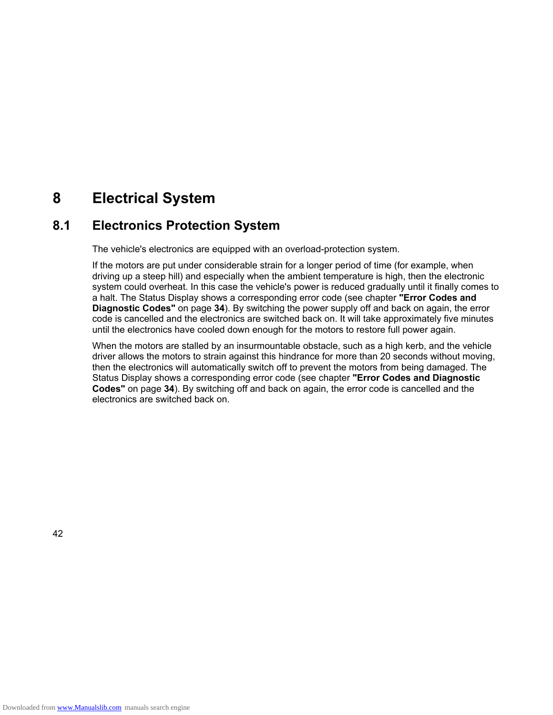### **8 Electrical System**

### **8.1 Electronics Protection System**

The vehicle's electronics are equipped with an overload-protection system.

If the motors are put under considerable strain for a longer period of time (for example, when driving up a steep hill) and especially when the ambient temperature is high, then the electronic system could overheat. In this case the vehicle's power is reduced gradually until it finally comes to a halt. The Status Display shows a corresponding error code (see chapter **"Error Codes and Diagnostic Codes"** on page **34**). By switching the power supply off and back on again, the error code is cancelled and the electronics are switched back on. It will take approximately five minutes until the electronics have cooled down enough for the motors to restore full power again.

When the motors are stalled by an insurmountable obstacle, such as a high kerb, and the vehicle driver allows the motors to strain against this hindrance for more than 20 seconds without moving, then the electronics will automatically switch off to prevent the motors from being damaged. The Status Display shows a corresponding error code (see chapter **"Error Codes and Diagnostic Codes"** on page **34**). By switching off and back on again, the error code is cancelled and the electronics are switched back on.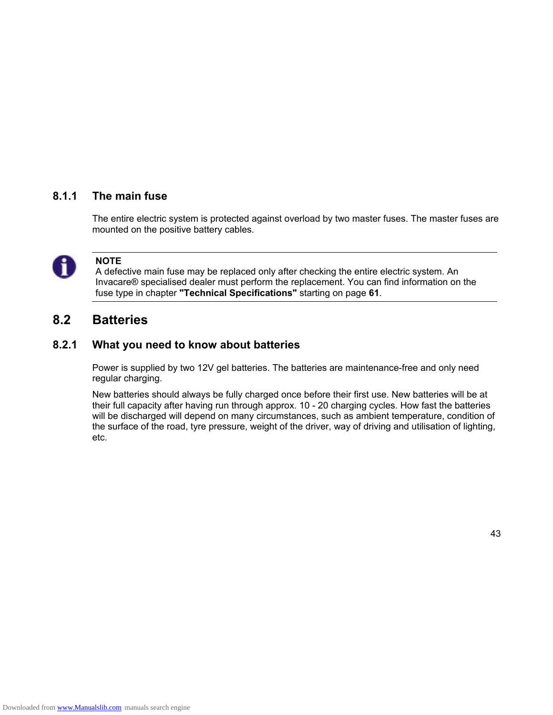### **8.1.1 The main fuse**

The entire electric system is protected against overload by two master fuses. The master fuses are mounted on the positive battery cables.



### **NOTE**

A defective main fuse may be replaced only after checking the entire electric system. An Invacare® specialised dealer must perform the replacement. You can find information on the fuse type in chapter **"Technical Specifications"** starting on page **61**.

### **8.2 Batteries**

### **8.2.1 What you need to know about batteries**

Power is supplied by two 12V gel batteries. The batteries are maintenance-free and only need regular charging.

New batteries should always be fully charged once before their first use. New batteries will be at their full capacity after having run through approx. 10 - 20 charging cycles. How fast the batteries will be discharged will depend on many circumstances, such as ambient temperature, condition of the surface of the road, tyre pressure, weight of the driver, way of driving and utilisation of lighting, etc.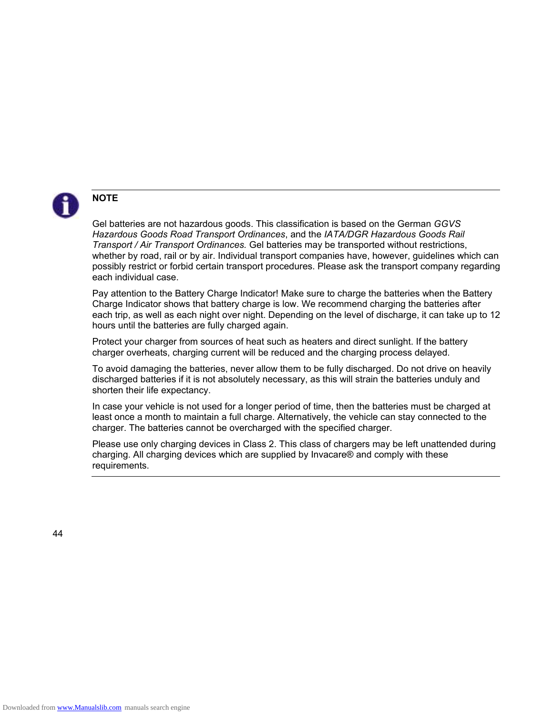

### **NOTE**

Gel batteries are not hazardous goods. This classification is based on the German *GGVS Hazardous Goods Road Transport Ordinances*, and the *IATA/DGR Hazardous Goods Rail Transport / Air Transport Ordinances.* Gel batteries may be transported without restrictions, whether by road, rail or by air. Individual transport companies have, however, guidelines which can possibly restrict or forbid certain transport procedures. Please ask the transport company regarding each individual case.

Pay attention to the Battery Charge Indicator! Make sure to charge the batteries when the Battery Charge Indicator shows that battery charge is low. We recommend charging the batteries after each trip, as well as each night over night. Depending on the level of discharge, it can take up to 12 hours until the batteries are fully charged again.

Protect your charger from sources of heat such as heaters and direct sunlight. If the battery charger overheats, charging current will be reduced and the charging process delayed.

To avoid damaging the batteries, never allow them to be fully discharged. Do not drive on heavily discharged batteries if it is not absolutely necessary, as this will strain the batteries unduly and shorten their life expectancy.

In case your vehicle is not used for a longer period of time, then the batteries must be charged at least once a month to maintain a full charge. Alternatively, the vehicle can stay connected to the charger. The batteries cannot be overcharged with the specified charger.

Please use only charging devices in Class 2. This class of chargers may be left unattended during charging. All charging devices which are supplied by Invacare® and comply with these requirements.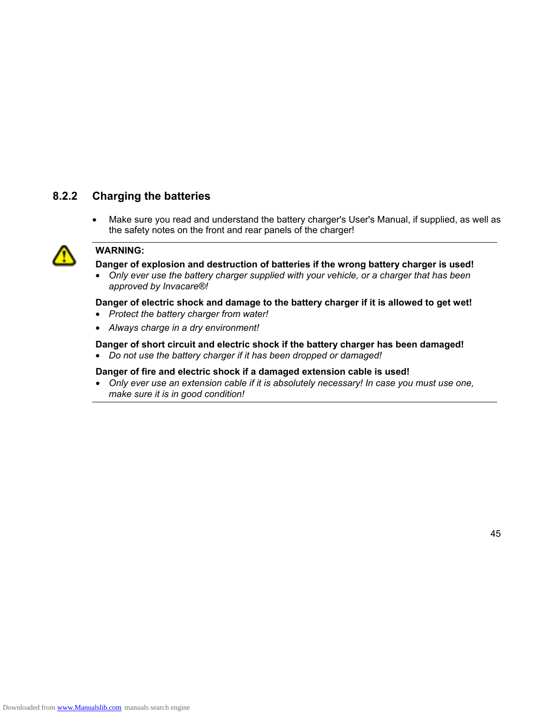### **8.2.2 Charging the batteries**

• Make sure you read and understand the battery charger's User's Manual, if supplied, as well as the safety notes on the front and rear panels of the charger!



### **WARNING:**

**Danger of explosion and destruction of batteries if the wrong battery charger is used!** 

• *Only ever use the battery charger supplied with your vehicle, or a charger that has been approved by Invacare®!* 

#### **Danger of electric shock and damage to the battery charger if it is allowed to get wet!**

- *Protect the battery charger from water!*
- *Always charge in a dry environment!*

#### **Danger of short circuit and electric shock if the battery charger has been damaged!**

• *Do not use the battery charger if it has been dropped or damaged!* 

### **Danger of fire and electric shock if a damaged extension cable is used!**

• *Only ever use an extension cable if it is absolutely necessary! In case you must use one, make sure it is in good condition!*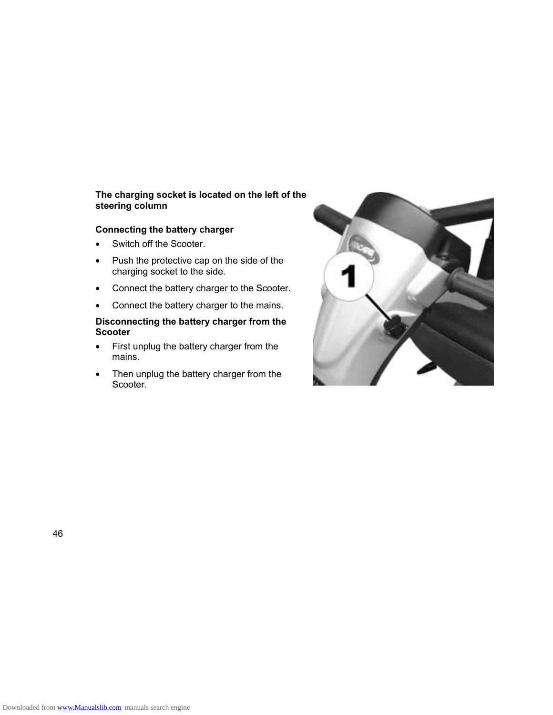### **The charging socket is located on the left of the steering column**

### **Connecting the battery charger**

- Switch off the Scooter.
- Push the protective cap on the side of the charging socket to the side.
- Connect the battery charger to the Scooter.
- Connect the battery charger to the mains.

#### **Disconnecting the battery charger from the Scooter**

- First unplug the battery charger from the mains.
- Then unplug the battery charger from the Scooter.

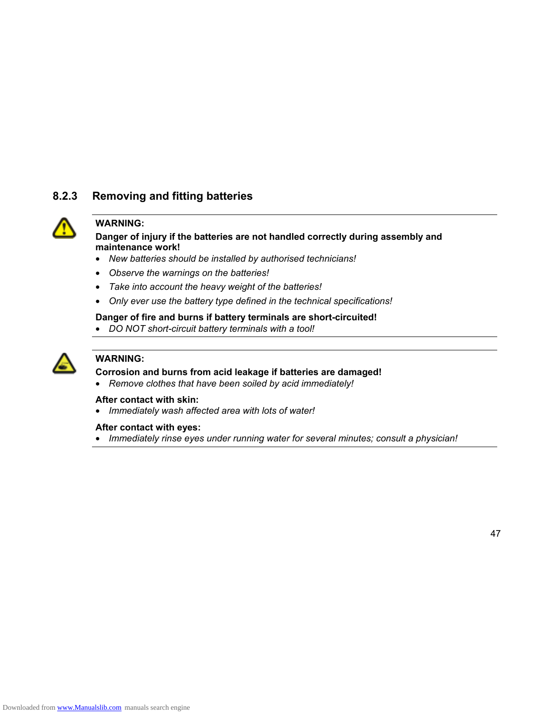### **8.2.3 Removing and fitting batteries**



### **WARNING:**

#### **Danger of injury if the batteries are not handled correctly during assembly and maintenance work!**

- *New batteries should be installed by authorised technicians!*
- *Observe the warnings on the batteries!*
- *Take into account the heavy weight of the batteries!*
- *Only ever use the battery type defined in the technical specifications!*

#### **Danger of fire and burns if battery terminals are short-circuited!**

• *DO NOT short-circuit battery terminals with a tool!* 



### **WARNING:**

#### **Corrosion and burns from acid leakage if batteries are damaged!**

• *Remove clothes that have been soiled by acid immediately!* 

#### **After contact with skin:**

• *Immediately wash affected area with lots of water!* 

#### **After contact with eyes:**

• *Immediately rinse eyes under running water for several minutes; consult a physician!*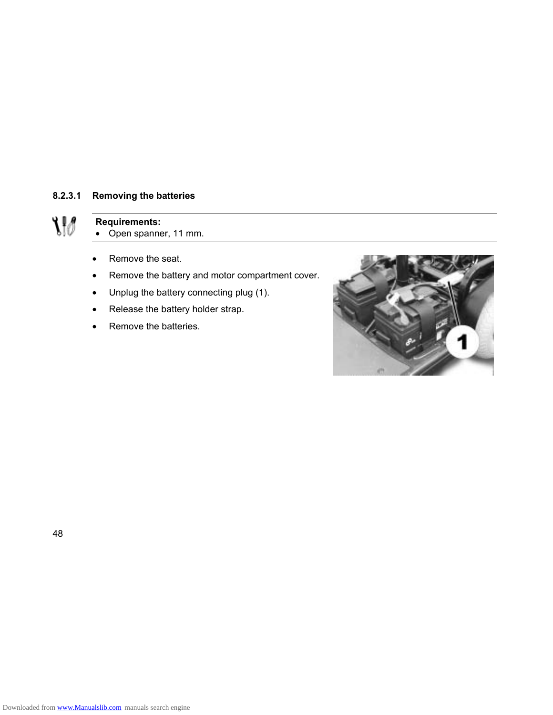### **8.2.3.1 Removing the batteries**

 $\mathcal{W}$ 

### **Requirements:**

- Open spanner, 11 mm.
- Remove the seat.
- Remove the battery and motor compartment cover.
- Unplug the battery connecting plug (1).
- Release the battery holder strap.
- Remove the batteries.

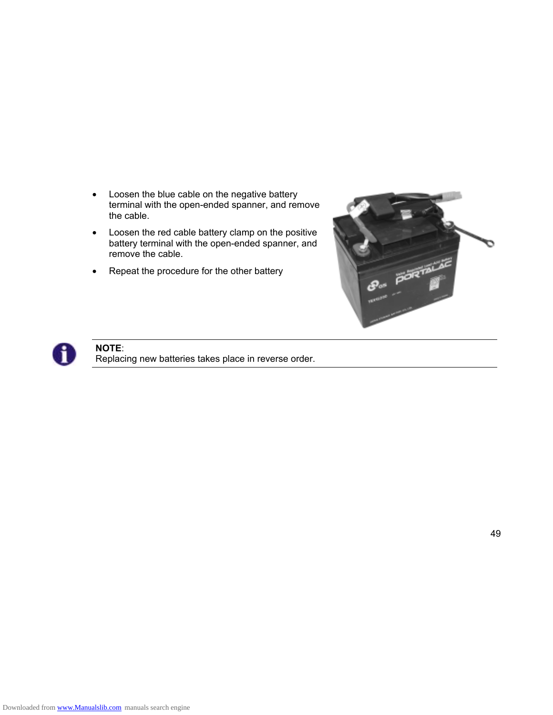- Loosen the blue cable on the negative battery terminal with the open-ended spanner, and remove the cable.
- Loosen the red cable battery clamp on the positive battery terminal with the open-ended spanner, and remove the cable.
- Repeat the procedure for the other battery





**NOTE**: Replacing new batteries takes place in reverse order.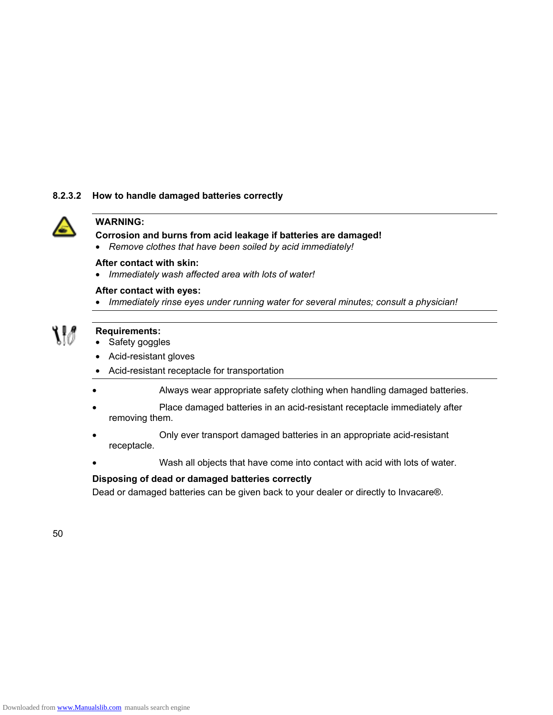#### **8.2.3.2 How to handle damaged batteries correctly**



#### **WARNING:**

#### **Corrosion and burns from acid leakage if batteries are damaged!**

• *Remove clothes that have been soiled by acid immediately!* 

#### **After contact with skin:**

• *Immediately wash affected area with lots of water!* 

#### **After contact with eyes:**

• *Immediately rinse eyes under running water for several minutes; consult a physician!* 

# M

#### **Requirements:**

- Safety goggles
- Acid-resistant gloves
- Acid-resistant receptacle for transportation
- Always wear appropriate safety clothing when handling damaged batteries.
- Place damaged batteries in an acid-resistant receptacle immediately after removing them.
- Only ever transport damaged batteries in an appropriate acid-resistant receptacle.
	- Wash all objects that have come into contact with acid with lots of water.

#### **Disposing of dead or damaged batteries correctly**

Dead or damaged batteries can be given back to your dealer or directly to Invacare®.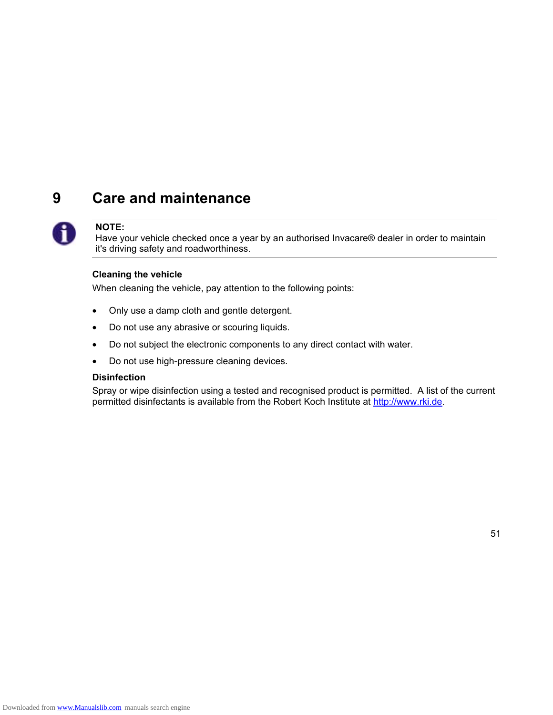### **9 Care and maintenance**



#### **NOTE:**

Have your vehicle checked once a year by an authorised Invacare® dealer in order to maintain it's driving safety and roadworthiness.

#### **Cleaning the vehicle**

When cleaning the vehicle, pay attention to the following points:

- Only use a damp cloth and gentle detergent.
- Do not use any abrasive or scouring liquids.
- Do not subject the electronic components to any direct contact with water.
- Do not use high-pressure cleaning devices.

#### **Disinfection**

Spray or wipe disinfection using a tested and recognised product is permitted. A list of the current permitted disinfectants is available from the Robert Koch Institute at http://www.rki.de.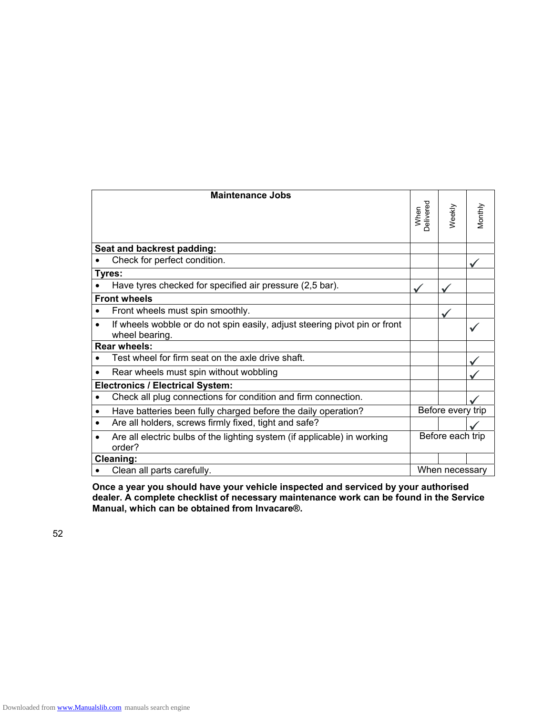|           | <b>Maintenance Jobs</b>                                                                      |                  |                   |         |
|-----------|----------------------------------------------------------------------------------------------|------------------|-------------------|---------|
|           |                                                                                              | When<br>elivered | Weekly            | Monthly |
|           | Seat and backrest padding:                                                                   |                  |                   |         |
|           | Check for perfect condition.                                                                 |                  |                   |         |
|           | Tyres:                                                                                       |                  |                   |         |
|           | Have tyres checked for specified air pressure (2,5 bar).                                     |                  |                   |         |
|           | <b>Front wheels</b>                                                                          |                  |                   |         |
| $\bullet$ | Front wheels must spin smoothly.                                                             |                  |                   |         |
| $\bullet$ | If wheels wobble or do not spin easily, adjust steering pivot pin or front<br>wheel bearing. |                  |                   |         |
|           | <b>Rear wheels:</b>                                                                          |                  |                   |         |
| $\bullet$ | Test wheel for firm seat on the axle drive shaft.                                            |                  |                   |         |
|           | Rear wheels must spin without wobbling                                                       |                  |                   |         |
|           | <b>Electronics / Electrical System:</b>                                                      |                  |                   |         |
| $\bullet$ | Check all plug connections for condition and firm connection.                                |                  |                   |         |
| ٠         | Have batteries been fully charged before the daily operation?                                |                  | Before every trip |         |
| ٠         | Are all holders, screws firmly fixed, tight and safe?                                        |                  |                   |         |
| $\bullet$ | Are all electric bulbs of the lighting system (if applicable) in working<br>order?           |                  | Before each trip  |         |
|           | Cleaning:                                                                                    |                  |                   |         |
| $\bullet$ | Clean all parts carefully.                                                                   |                  | When necessary    |         |

**Once a year you should have your vehicle inspected and serviced by your authorised dealer. A complete checklist of necessary maintenance work can be found in the Service Manual, which can be obtained from Invacare®.**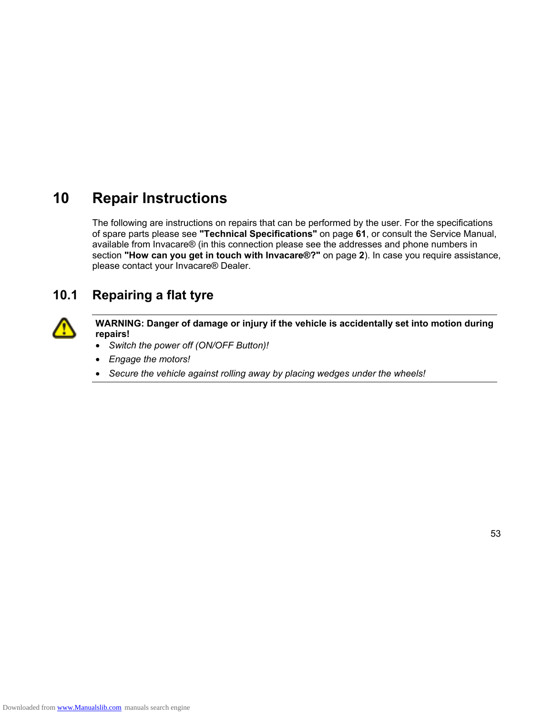### **10 Repair Instructions**

The following are instructions on repairs that can be performed by the user. For the specifications of spare parts please see **"Technical Specifications"** on page **61**, or consult the Service Manual, available from Invacare® (in this connection please see the addresses and phone numbers in section **"How can you get in touch with Invacare®?"** on page **2**). In case you require assistance, please contact your Invacare® Dealer.

### **10.1 Repairing a flat tyre**



**WARNING: Danger of damage or injury if the vehicle is accidentally set into motion during repairs!** 

- *Switch the power off (ON/OFF Button)!*
- *Engage the motors!*
- *Secure the vehicle against rolling away by placing wedges under the wheels!*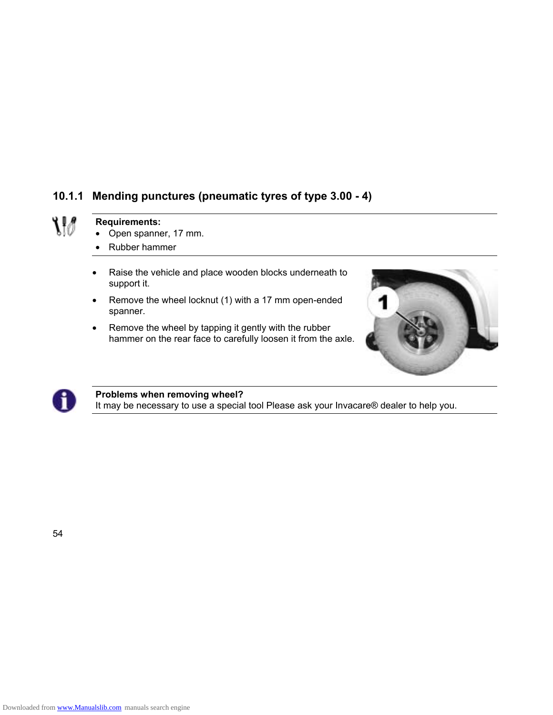### **10.1.1 Mending punctures (pneumatic tyres of type 3.00 - 4)**

# $\mathcal{W}$

### **Requirements:**

- Open spanner, 17 mm.
- Rubber hammer
- Raise the vehicle and place wooden blocks underneath to support it.
- Remove the wheel locknut (1) with a 17 mm open-ended spanner.
- Remove the wheel by tapping it gently with the rubber hammer on the rear face to carefully loosen it from the axle.





#### **Problems when removing wheel?**

It may be necessary to use a special tool Please ask your Invacare® dealer to help you.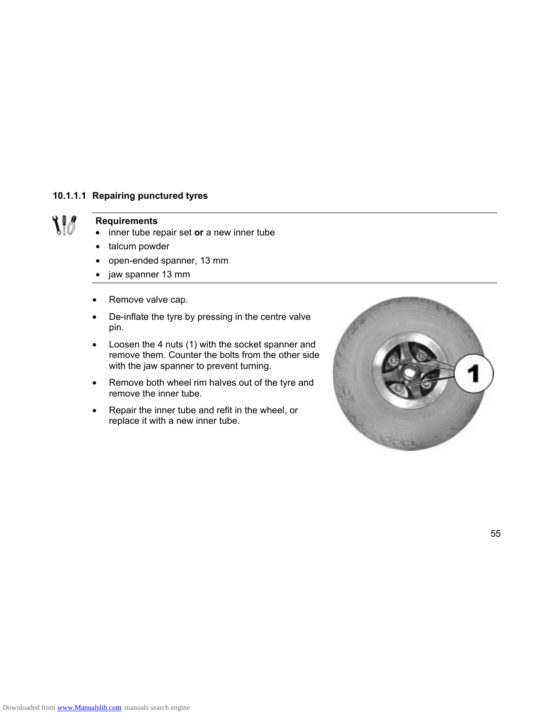#### **10.1.1.1 Repairing punctured tyres**



### **Requirements**

- inner tube repair set **or** a new inner tube
- talcum powder
- open-ended spanner, 13 mm
- jaw spanner 13 mm
- Remove valve cap.
- De-inflate the tyre by pressing in the centre valve pin.
- Loosen the 4 nuts (1) with the socket spanner and remove them. Counter the bolts from the other side with the jaw spanner to prevent turning.
- Remove both wheel rim halves out of the tyre and remove the inner tube.
- Repair the inner tube and refit in the wheel, or replace it with a new inner tube.

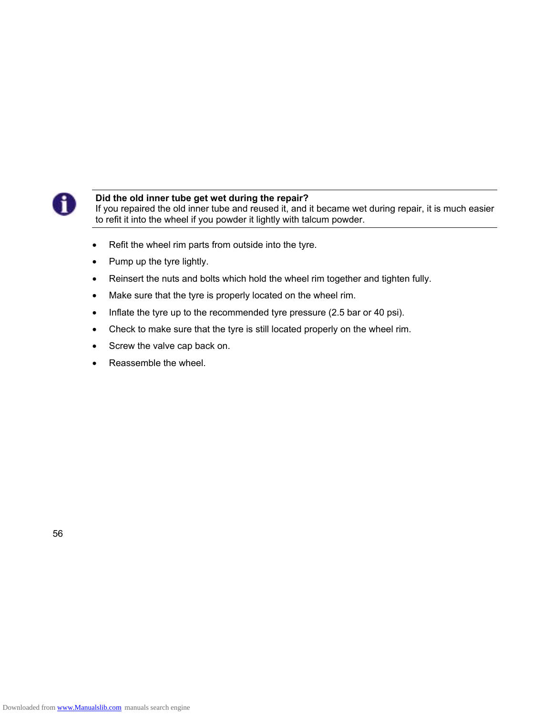

### **Did the old inner tube get wet during the repair?**

If you repaired the old inner tube and reused it, and it became wet during repair, it is much easier to refit it into the wheel if you powder it lightly with talcum powder.

- Refit the wheel rim parts from outside into the tyre.
- Pump up the tyre lightly.
- Reinsert the nuts and bolts which hold the wheel rim together and tighten fully.
- Make sure that the tyre is properly located on the wheel rim.
- Inflate the tyre up to the recommended tyre pressure (2.5 bar or 40 psi).
- Check to make sure that the tyre is still located properly on the wheel rim.
- Screw the valve cap back on.
- Reassemble the wheel.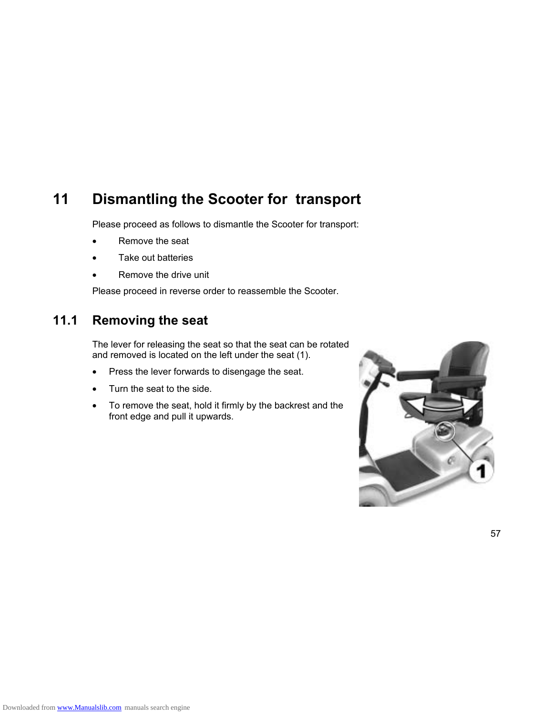### **11 Dismantling the Scooter for transport**

Please proceed as follows to dismantle the Scooter for transport:

- Remove the seat
- Take out batteries
- Remove the drive unit

Please proceed in reverse order to reassemble the Scooter.

### **11.1 Removing the seat**

The lever for releasing the seat so that the seat can be rotated and removed is located on the left under the seat (1).

- Press the lever forwards to disengage the seat.
- Turn the seat to the side.
- To remove the seat, hold it firmly by the backrest and the front edge and pull it upwards.

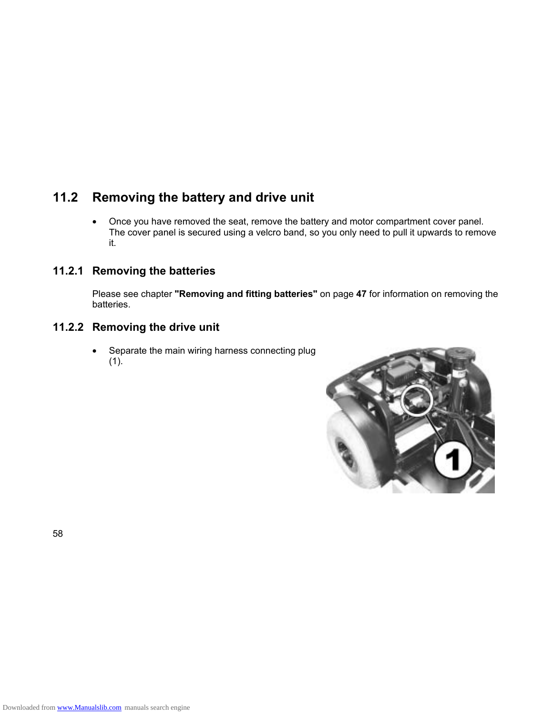### **11.2 Removing the battery and drive unit**

• Once you have removed the seat, remove the battery and motor compartment cover panel. The cover panel is secured using a velcro band, so you only need to pull it upwards to remove it.

### **11.2.1 Removing the batteries**

Please see chapter **"Removing and fitting batteries"** on page **47** for information on removing the batteries.

### **11.2.2 Removing the drive unit**

• Separate the main wiring harness connecting plug  $(1).$ 

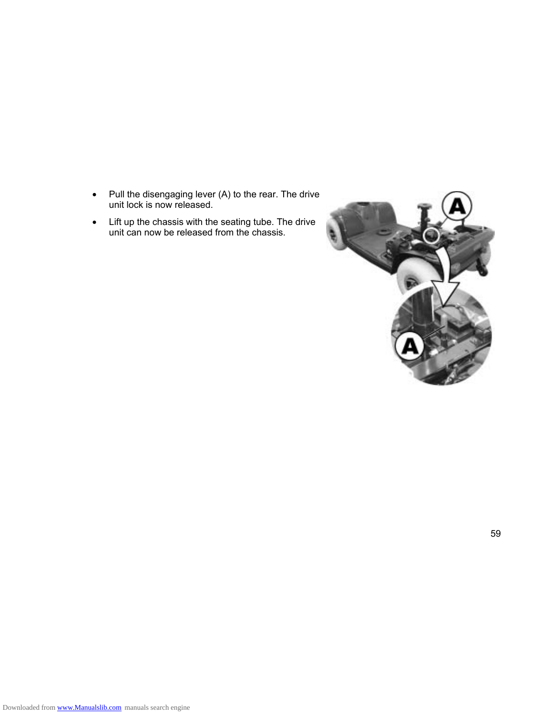- Pull the disengaging lever (A) to the rear. The drive unit lock is now released.
- Lift up the chassis with the seating tube. The drive unit can now be released from the chassis.

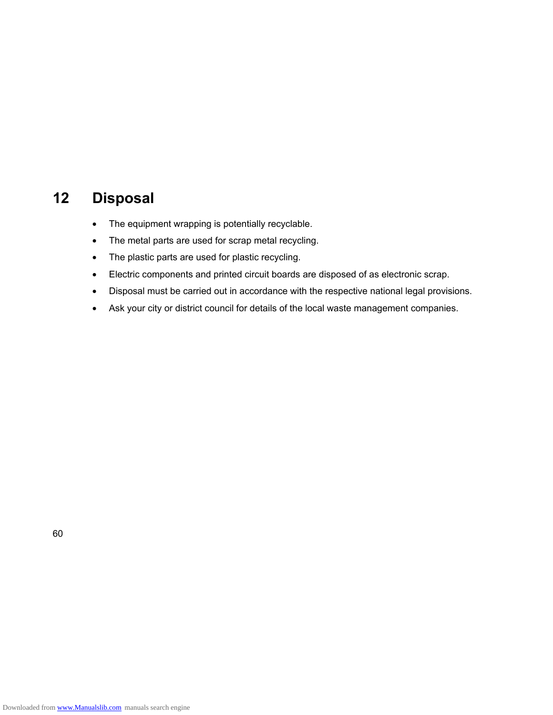### **12 Disposal**

- The equipment wrapping is potentially recyclable.
- The metal parts are used for scrap metal recycling.
- The plastic parts are used for plastic recycling.
- Electric components and printed circuit boards are disposed of as electronic scrap.
- Disposal must be carried out in accordance with the respective national legal provisions.
- Ask your city or district council for details of the local waste management companies.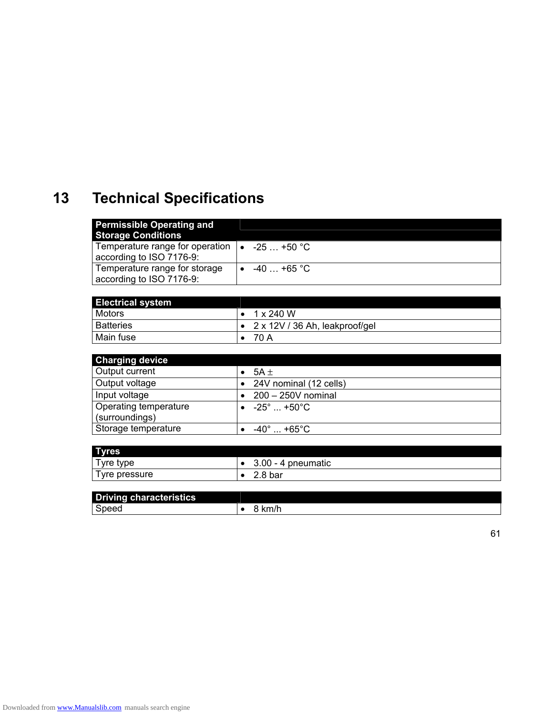## **13 Technical Specifications**

| <b>Permissible Operating and</b><br><b>Storage Conditions</b>                     |              |
|-----------------------------------------------------------------------------------|--------------|
| Temperature range for operation $\bullet$ -25  +50 °C<br>according to ISO 7176-9: |              |
| Temperature range for storage<br>according to ISO 7176-9:                         | $-40$ +65 °C |

| <b>Electrical system</b> |                                |
|--------------------------|--------------------------------|
| <b>Motors</b>            | 1 x 240 W                      |
| <b>Batteries</b>         | 2 x 12V / 36 Ah, leakproof/gel |
| Main fuse                | 70 A                           |

| <b>Charging device</b> |                        |
|------------------------|------------------------|
| Output current         | $5A +$                 |
| Output voltage         | 24V nominal (12 cells) |
| Input voltage          | $200 - 250V$ nominal   |
| Operating temperature  | $-25^\circ$ +50°C.     |
| (surroundings)         |                        |
| Storage temperature    | $-40^\circ$ +65°C      |

| <b>Tyres</b>  |                                                 |
|---------------|-------------------------------------------------|
| $T$ yre type  | 3.00<br>4 pneumatic<br>$\overline{\phantom{a}}$ |
| Tyre pressure | 2.8 <sub>bar</sub>                              |

| <b>Driving characteristics</b> |                         |
|--------------------------------|-------------------------|
| Speed                          | $\overline{a}$<br>'IVI. |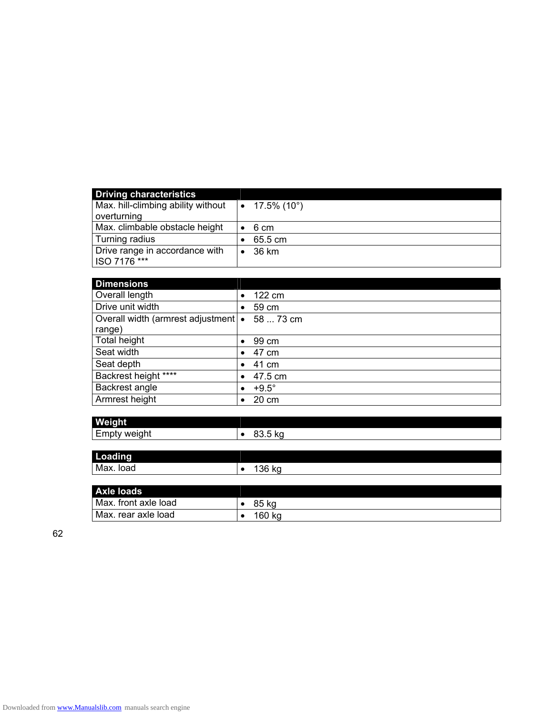| <b>Driving characteristics</b>     |                             |
|------------------------------------|-----------------------------|
| Max. hill-climbing ability without | • $17.5\%$ (10 $^{\circ}$ ) |
| overturning                        |                             |
| Max. climbable obstacle height     | 6 cm                        |
| Turning radius                     | 65.5 cm                     |
| Drive range in accordance with     | 36 km                       |
| ISO 7176 ***                       |                             |

| <b>Dimensions</b>                    |           |              |
|--------------------------------------|-----------|--------------|
| Overall length                       | $\bullet$ | 122 cm       |
| Drive unit width                     | ٠         | 59 cm        |
| Overall width (armrest adjustment) • |           | 58  73 cm    |
| range)                               |           |              |
| Total height                         | $\bullet$ | 99 cm        |
| Seat width                           | $\bullet$ | 47 cm        |
| Seat depth                           | $\bullet$ | 41 cm        |
| Backrest height ****                 | $\bullet$ | 47.5 cm      |
| Backrest angle                       | $\bullet$ | $+9.5^\circ$ |
| Armrest height                       | $\bullet$ | 20 cm        |

| <b>Weight</b>                               |      |
|---------------------------------------------|------|
| $\overline{\phantom{0}}$<br>Empty<br>weight | ບບ.ບ |
|                                             |      |

| <b>Loading</b> |       |
|----------------|-------|
| Max.           | 36.52 |
| load           | שט מע |

| <b>Axle loads</b>    |        |
|----------------------|--------|
| Max. front axle load | 85 kg  |
| Max. rear axle load  | 160 kg |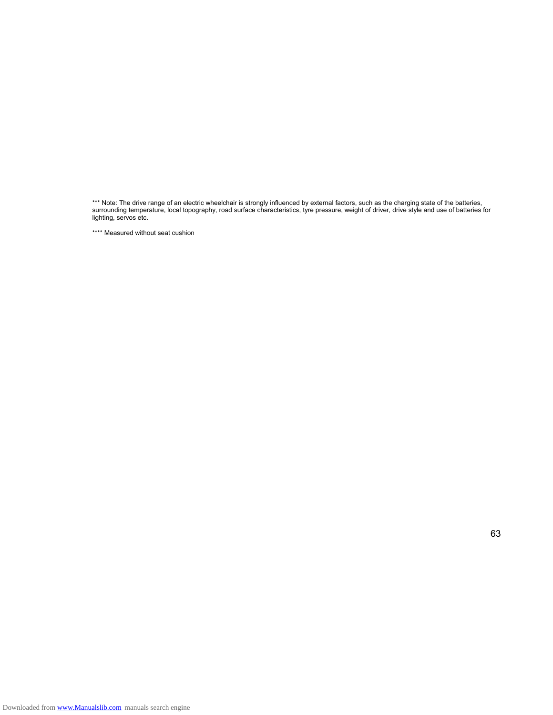\*\*\* Note: The drive range of an electric wheelchair is strongly influenced by external factors, such as the charging state of the batteries, surrounding temperature, local topography, road surface characteristics, tyre pressure, weight of driver, drive style and use of batteries for lighting, servos etc.

\*\*\*\* Measured without seat cushion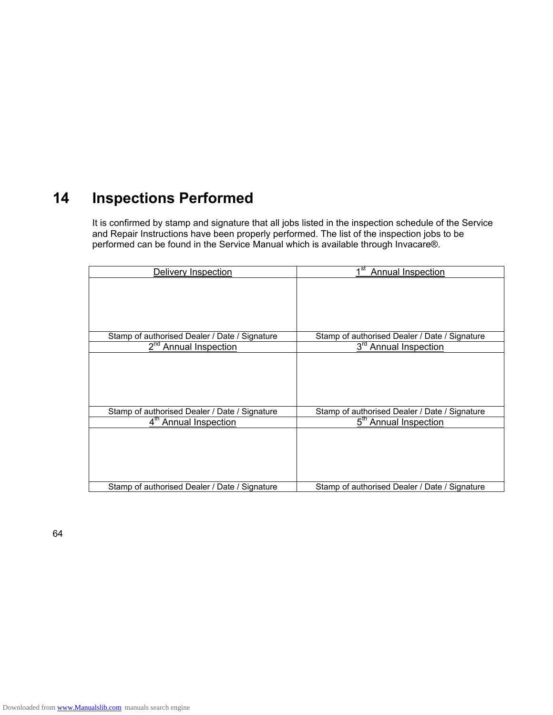### **14 Inspections Performed**

It is confirmed by stamp and signature that all jobs listed in the inspection schedule of the Service and Repair Instructions have been properly performed. The list of the inspection jobs to be performed can be found in the Service Manual which is available through Invacare®.

| Delivery Inspection                           | Annual Inspection                             |
|-----------------------------------------------|-----------------------------------------------|
|                                               |                                               |
|                                               |                                               |
|                                               |                                               |
|                                               |                                               |
|                                               |                                               |
| Stamp of authorised Dealer / Date / Signature | Stamp of authorised Dealer / Date / Signature |
| 2 <sup>nd</sup> Annual Inspection             | 3 <sup>rd</sup> Annual Inspection             |
|                                               |                                               |
|                                               |                                               |
|                                               |                                               |
|                                               |                                               |
|                                               |                                               |
| Stamp of authorised Dealer / Date / Signature | Stamp of authorised Dealer / Date / Signature |
| 4 <sup>th</sup> Annual Inspection             | 5 <sup>th</sup> Annual Inspection             |
|                                               |                                               |
|                                               |                                               |
|                                               |                                               |
|                                               |                                               |
|                                               |                                               |
| Stamp of authorised Dealer / Date / Signature | Stamp of authorised Dealer / Date / Signature |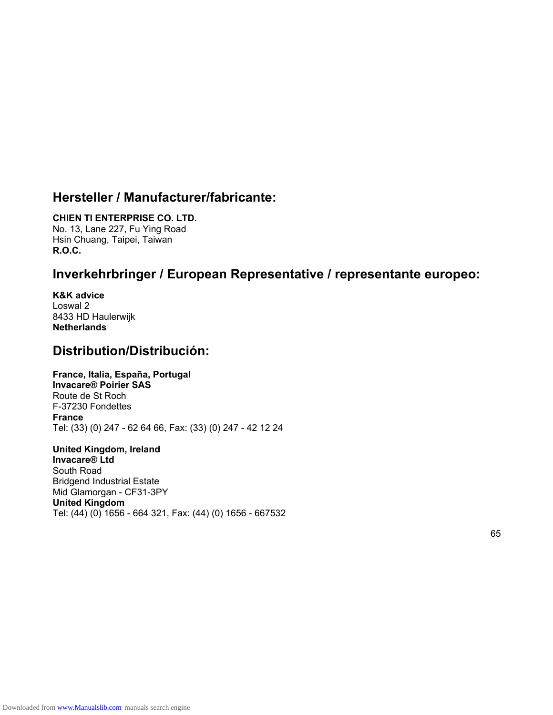### **Hersteller / Manufacturer/fabricante:**

### **CHIEN TI ENTERPRISE CO. LTD.**

No. 13, Lane 227, Fu Ying Road Hsin Chuang, Taipei, Taiwan **R.O.C.** 

### **Inverkehrbringer / European Representative / representante europeo:**

**K&K advice**  Loswal 2 8433 HD Haulerwijk **Netherlands** 

### **Distribution/Distribución:**

### **France, Italia, España, Portugal**

**Invacare® Poirier SAS**  Route de St Roch F-37230 Fondettes **France** Tel: (33) (0) 247 - 62 64 66, Fax: (33) (0) 247 - 42 12 24

#### **United Kingdom, Ireland Invacare® Ltd**  South Road Bridgend Industrial Estate Mid Glamorgan - CF31-3PY **United Kingdom** Tel: (44) (0) 1656 - 664 321, Fax: (44) (0) 1656 - 667532